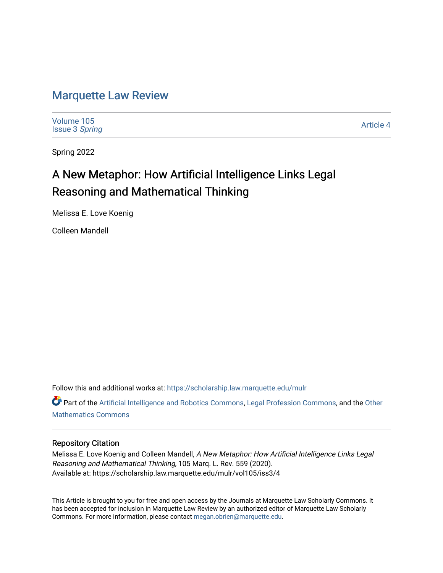## [Marquette Law Review](https://scholarship.law.marquette.edu/mulr)

[Volume 105](https://scholarship.law.marquette.edu/mulr/vol105) [Issue 3](https://scholarship.law.marquette.edu/mulr/vol105/iss3) Spring

[Article 4](https://scholarship.law.marquette.edu/mulr/vol105/iss3/4) 

Spring 2022

# A New Metaphor: How Artificial Intelligence Links Legal Reasoning and Mathematical Thinking

Melissa E. Love Koenig

Colleen Mandell

Follow this and additional works at: [https://scholarship.law.marquette.edu/mulr](https://scholarship.law.marquette.edu/mulr?utm_source=scholarship.law.marquette.edu%2Fmulr%2Fvol105%2Fiss3%2F4&utm_medium=PDF&utm_campaign=PDFCoverPages) 

Part of the [Artificial Intelligence and Robotics Commons](https://network.bepress.com/hgg/discipline/143?utm_source=scholarship.law.marquette.edu%2Fmulr%2Fvol105%2Fiss3%2F4&utm_medium=PDF&utm_campaign=PDFCoverPages), [Legal Profession Commons,](https://network.bepress.com/hgg/discipline/1075?utm_source=scholarship.law.marquette.edu%2Fmulr%2Fvol105%2Fiss3%2F4&utm_medium=PDF&utm_campaign=PDFCoverPages) and the [Other](https://network.bepress.com/hgg/discipline/185?utm_source=scholarship.law.marquette.edu%2Fmulr%2Fvol105%2Fiss3%2F4&utm_medium=PDF&utm_campaign=PDFCoverPages)  [Mathematics Commons](https://network.bepress.com/hgg/discipline/185?utm_source=scholarship.law.marquette.edu%2Fmulr%2Fvol105%2Fiss3%2F4&utm_medium=PDF&utm_campaign=PDFCoverPages)

## Repository Citation

Melissa E. Love Koenig and Colleen Mandell, A New Metaphor: How Artificial Intelligence Links Legal Reasoning and Mathematical Thinking, 105 Marq. L. Rev. 559 (2020). Available at: https://scholarship.law.marquette.edu/mulr/vol105/iss3/4

This Article is brought to you for free and open access by the Journals at Marquette Law Scholarly Commons. It has been accepted for inclusion in Marquette Law Review by an authorized editor of Marquette Law Scholarly Commons. For more information, please contact [megan.obrien@marquette.edu](mailto:megan.obrien@marquette.edu).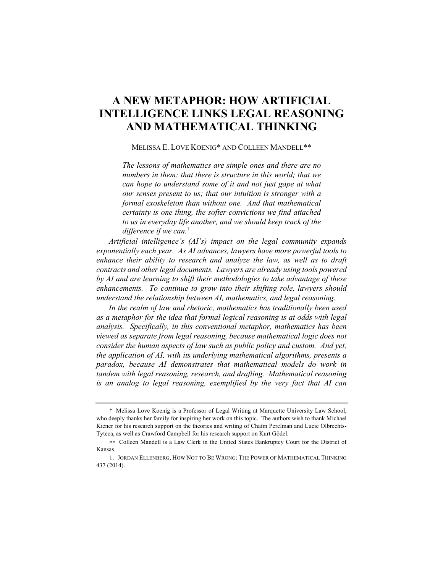## **A NEW METAPHOR: HOW ARTIFICIAL INTELLIGENCE LINKS LEGAL REASONING AND MATHEMATICAL THINKING**

MELISSA E. LOVE KOENIG\* AND COLLEEN MANDELL\*\*

*The lessons of mathematics are simple ones and there are no numbers in them: that there is structure in this world; that we can hope to understand some of it and not just gape at what our senses present to us; that our intuition is stronger with a formal exoskeleton than without one. And that mathematical certainty is one thing, the softer convictions we find attached to us in everyday life another, and we should keep track of the*  difference if we can.<sup>1</sup>

*Artificial intelligence's (AI's) impact on the legal community expands exponentially each year. As AI advances, lawyers have more powerful tools to enhance their ability to research and analyze the law, as well as to draft contracts and other legal documents. Lawyers are already using tools powered by AI and are learning to shift their methodologies to take advantage of these enhancements. To continue to grow into their shifting role, lawyers should understand the relationship between AI, mathematics, and legal reasoning.*

*In the realm of law and rhetoric, mathematics has traditionally been used as a metaphor for the idea that formal logical reasoning is at odds with legal analysis. Specifically, in this conventional metaphor, mathematics has been viewed as separate from legal reasoning, because mathematical logic does not consider the human aspects of law such as public policy and custom. And yet, the application of AI, with its underlying mathematical algorithms, presents a paradox, because AI demonstrates that mathematical models do work in tandem with legal reasoning, research, and drafting. Mathematical reasoning is an analog to legal reasoning, exemplified by the very fact that AI can* 

<sup>\*</sup> Melissa Love Koenig is a Professor of Legal Writing at Marquette University Law School, who deeply thanks her family for inspiring her work on this topic. The authors wish to thank Michael Kiener for his research support on the theories and writing of Chaïm Perelman and Lucie Olbrechts-Tyteca, as well as Crawford Campbell for his research support on Kurt Gödel.

<sup>\*\*</sup> Colleen Mandell is a Law Clerk in the United States Bankruptcy Court for the District of Kansas.

<sup>1.</sup> JORDAN ELLENBERG, HOW NOT TO BE WRONG: THE POWER OF MATHEMATICAL THINKING 437 (2014).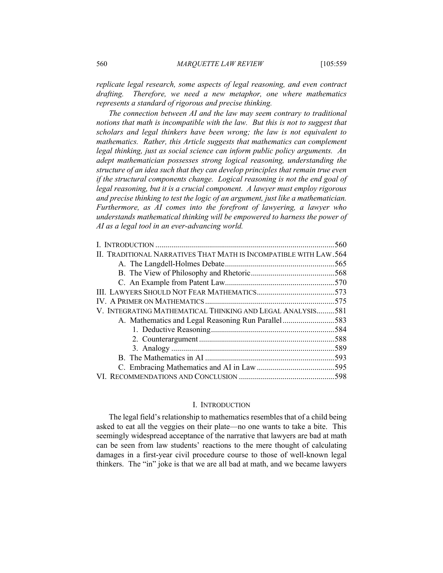*replicate legal research, some aspects of legal reasoning, and even contract drafting. Therefore, we need a new metaphor, one where mathematics represents a standard of rigorous and precise thinking.*

*The connection between AI and the law may seem contrary to traditional notions that math is incompatible with the law. But this is not to suggest that scholars and legal thinkers have been wrong; the law is not equivalent to mathematics. Rather, this Article suggests that mathematics can complement legal thinking, just as social science can inform public policy arguments. An adept mathematician possesses strong logical reasoning, understanding the structure of an idea such that they can develop principles that remain true even if the structural components change. Logical reasoning is not the end goal of legal reasoning, but it is a crucial component. A lawyer must employ rigorous and precise thinking to test the logic of an argument, just like a mathematician. Furthermore, as AI comes into the forefront of lawyering, a lawyer who understands mathematical thinking will be empowered to harness the power of AI as a legal tool in an ever-advancing world.*

|                                                                   | .560 |
|-------------------------------------------------------------------|------|
| II. TRADITIONAL NARRATIVES THAT MATH IS INCOMPATIBLE WITH LAW.564 |      |
|                                                                   |      |
|                                                                   |      |
|                                                                   |      |
|                                                                   |      |
|                                                                   |      |
| V. INTEGRATING MATHEMATICAL THINKING AND LEGAL ANALYSIS581        |      |
| A. Mathematics and Legal Reasoning Run Parallel583                |      |
|                                                                   |      |
|                                                                   |      |
|                                                                   |      |
|                                                                   |      |
|                                                                   |      |
|                                                                   |      |
|                                                                   |      |

#### I. INTRODUCTION

The legal field's relationship to mathematics resembles that of a child being asked to eat all the veggies on their plate—no one wants to take a bite. This seemingly widespread acceptance of the narrative that lawyers are bad at math can be seen from law students' reactions to the mere thought of calculating damages in a first-year civil procedure course to those of well-known legal thinkers. The "in" joke is that we are all bad at math, and we became lawyers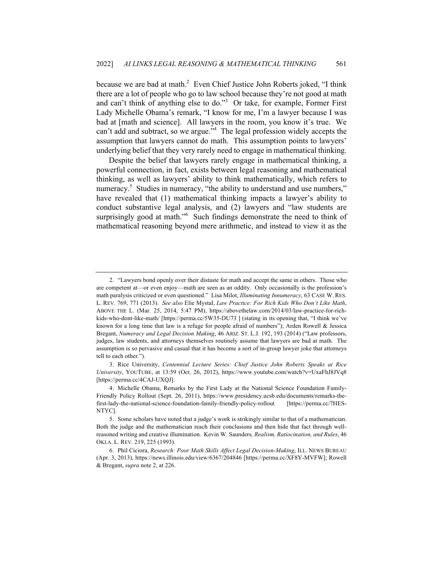because we are bad at math.<sup>2</sup> Even Chief Justice John Roberts joked, "I think there are a lot of people who go to law school because they're not good at math and can't think of anything else to do."<sup>3</sup> Or take, for example, Former First Lady Michelle Obama's remark, "I know for me, I'm a lawyer because I was bad at [math and science]. All lawyers in the room, you know it's true. We can't add and subtract, so we argue."<sup>4</sup> The legal profession widely accepts the assumption that lawyers cannot do math. This assumption points to lawyers' underlying belief that they very rarely need to engage in mathematical thinking.

Despite the belief that lawyers rarely engage in mathematical thinking, a powerful connection, in fact, exists between legal reasoning and mathematical thinking, as well as lawyers' ability to think mathematically, which refers to numeracy.<sup>5</sup> Studies in numeracy, "the ability to understand and use numbers," have revealed that (1) mathematical thinking impacts a lawyer's ability to conduct substantive legal analysis, and (2) lawyers and "law students are surprisingly good at math."<sup>6</sup> Such findings demonstrate the need to think of mathematical reasoning beyond mere arithmetic, and instead to view it as the

<sup>2.</sup> "Lawyers bond openly over their distaste for math and accept the same in others. Those who are competent at—or even enjoy—math are seen as an oddity. Only occasionally is the profession's math paralysis criticized or even questioned." Lisa Milot, *Illuminating Innumeracy*, 63 CASE W. RES. L. REV. 769, 771 (2013). *See also* Elie Mystal, *Law Practice: For Rich Kids Who Don't Like Math*, ABOVE THE L. (Mar. 25, 2014, 5:47 PM), https://abovethelaw.com/2014/03/law-practice-for-richkids-who-dont-like-math/ [https://perma.cc/5W35-DU73 ] (stating in its opening that, "I think we've known for a long time that law is a refuge for people afraid of numbers"); Arden Rowell & Jessica Bregant, *Numeracy and Legal Decision Making*, 46 ARIZ. ST. L.J. 192, 193 (2014) ("Law professors, judges, law students, and attorneys themselves routinely assume that lawyers are bad at math. The assumption is so pervasive and casual that it has become a sort of in-group lawyer joke that attorneys tell to each other.").

<sup>3.</sup> Rice University, *Centennial Lecture Series: Chief Justice John Roberts Speaks at Rice University*, YOUTUBE, at 13:59 (Oct. 26, 2012), https://www.youtube.com/watch?v=UxaFhJ8JVq8 [https://perma.cc/4CAJ-UXQJ].

<sup>4.</sup> Michelle Obama, Remarks by the First Lady at the National Science Foundation Family-Friendly Policy Rollout (Sept. 26, 2011), https://www.presidency.ucsb.edu/documents/remarks-thefirst-lady-the-national-science-foundation-family-friendly-policy-rollout [https://perma.cc/7HES-NTYC].

<sup>5.</sup> Some scholars have noted that a judge's work is strikingly similar to that of a mathematician. Both the judge and the mathematician reach their conclusions and then hide that fact through wellreasoned writing and creative illumination. Kevin W. Saunders*, Realism, Ratiocination, and Rules*, 46 OKLA. L. REV. 219, 225 (1993).

<sup>6.</sup> Phil Ciciora, *Research: Poor Math Skills Affect Legal Decision-Making*, ILL. NEWS BUREAU (Apr. 3, 2013), https://news.illinois.edu/view/6367/204846 [https://perma.cc/XF8Y-MVFW]; Rowell & Bregant, *supra* note 2, at 226.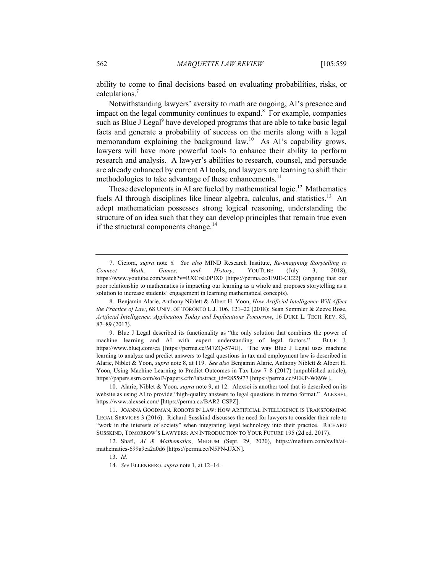ability to come to final decisions based on evaluating probabilities, risks, or calculations.7

Notwithstanding lawyers' aversity to math are ongoing, AI's presence and impact on the legal community continues to expand. 8 For example, companies such as Blue J Legal<sup>9</sup> have developed programs that are able to take basic legal facts and generate a probability of success on the merits along with a legal memorandum explaining the background law.<sup>10</sup> As AI's capability grows, lawyers will have more powerful tools to enhance their ability to perform research and analysis. A lawyer's abilities to research, counsel, and persuade are already enhanced by current AI tools, and lawyers are learning to shift their methodologies to take advantage of these enhancements.<sup>11</sup>

These developments in AI are fueled by mathematical logic.<sup>12</sup> Mathematics fuels AI through disciplines like linear algebra, calculus, and statistics.<sup>13</sup> An adept mathematician possesses strong logical reasoning, understanding the structure of an idea such that they can develop principles that remain true even if the structural components change.<sup>14</sup>

9. Blue J Legal described its functionality as "the only solution that combines the power of machine learning and AI with expert understanding of legal factors." BLUE J, https://www.bluej.com/ca [https://perma.cc/M7ZQ-574U]. The way Blue J Legal uses machine learning to analyze and predict answers to legal questions in tax and employment law is described in Alarie, Niblet & Yoon, *supra* note 8, at 119. *See also* Benjamin Alarie, Anthony Niblett & Albert H. Yoon, Using Machine Learning to Predict Outcomes in Tax Law 7–8 (2017) (unpublished article), https://papers.ssrn.com/sol3/papers.cfm?abstract\_id=2855977 [https://perma.cc/9EKP-W89W].

10. Alarie, Niblet & Yoon*, supra* note 9, at 12. Alexsei is another tool that is described on its website as using AI to provide "high-quality answers to legal questions in memo format." ALEXSEI, https://www.alexsei.com/ [https://perma.cc/BAR2-CSPZ].

11. JOANNA GOODMAN, ROBOTS IN LAW: HOW ARTIFICIAL INTELLIGENCE IS TRANSFORMING LEGAL SERVICES 3 (2016). Richard Susskind discusses the need for lawyers to consider their role to "work in the interests of society" when integrating legal technology into their practice. RICHARD SUSSKIND, TOMORROW'S LAWYERS: AN INTRODUCTION TO YOUR FUTURE 195 (2d ed. 2017).

12. Shafi, *AI & Mathematics*, MEDIUM (Sept. 29, 2020), https://medium.com/swlh/aimathematics-699a9ea2a0d6 [https://perma.cc/N5PN-JJXN].

13. *Id.*

<sup>7.</sup> Ciciora, *supra* note *6. See also* MIND Research Institute, *Re-imagining Storytelling to Connect Math, Games, and History*, YOUTUBE (July 3, 2018), https://www.youtube.com/watch?v=RXCrsE0PIX0 [https://perma.cc/H9JE-CE22] (arguing that our poor relationship to mathematics is impacting our learning as a whole and proposes storytelling as a solution to increase students' engagement in learning mathematical concepts).

<sup>8.</sup> Benjamin Alarie, Anthony Niblett & Albert H. Yoon, *How Artificial Intelligence Will Affect the Practice of Law*, 68 UNIV. OF TORONTO L.J. 106, 121–22 (2018); Sean Semmler & Zeeve Rose, *Artificial Intelligence: Application Today and Implications Tomorrow*, 16 DUKE L. TECH. REV. 85, 87–89 (2017).

<sup>14.</sup> *See* ELLENBERG, *supra* note 1, at 12–14.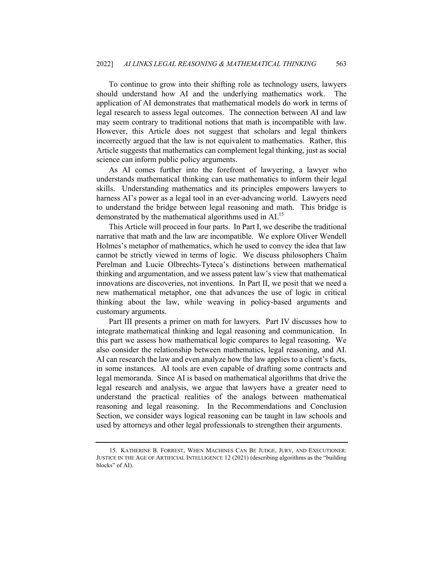To continue to grow into their shifting role as technology users, lawyers should understand how AI and the underlying mathematics work. The application of AI demonstrates that mathematical models do work in terms of legal research to assess legal outcomes. The connection between AI and law may seem contrary to traditional notions that math is incompatible with law. However, this Article does not suggest that scholars and legal thinkers incorrectly argued that the law is not equivalent to mathematics. Rather, this Article suggests that mathematics can complement legal thinking, just as social science can inform public policy arguments.

As AI comes further into the forefront of lawyering, a lawyer who understands mathematical thinking can use mathematics to inform their legal skills. Understanding mathematics and its principles empowers lawyers to harness AI's power as a legal tool in an ever-advancing world. Lawyers need to understand the bridge between legal reasoning and math. This bridge is demonstrated by the mathematical algorithms used in AI.<sup>15</sup>

This Article will proceed in four parts. In Part I, we describe the traditional narrative that math and the law are incompatible. We explore Oliver Wendell Holmes's metaphor of mathematics, which he used to convey the idea that law cannot be strictly viewed in terms of logic. We discuss philosophers Chaïm Perelman and Lucie Olbrechts-Tyteca's distinctions between mathematical thinking and argumentation, and we assess patent law's view that mathematical innovations are discoveries, not inventions. In Part II, we posit that we need a new mathematical metaphor, one that advances the use of logic in critical thinking about the law, while weaving in policy-based arguments and customary arguments.

Part III presents a primer on math for lawyers. Part IV discusses how to integrate mathematical thinking and legal reasoning and communication. In this part we assess how mathematical logic compares to legal reasoning. We also consider the relationship between mathematics, legal reasoning, and AI. AI can research the law and even analyze how the law applies to a client's facts, in some instances. AI tools are even capable of drafting some contracts and legal memoranda. Since AI is based on mathematical algorithms that drive the legal research and analysis, we argue that lawyers have a greater need to understand the practical realities of the analogs between mathematical reasoning and legal reasoning. In the Recommendations and Conclusion Section, we consider ways logical reasoning can be taught in law schools and used by attorneys and other legal professionals to strengthen their arguments.

<sup>15.</sup> KATHERINE B. FORREST, WHEN MACHINES CAN BE JUDGE, JURY, AND EXECUTIONER: JUSTICE IN THE AGE OF ARTIFICIAL INTELLIGENCE 12 (2021) (describing algorithms as the "building blocks" of AI).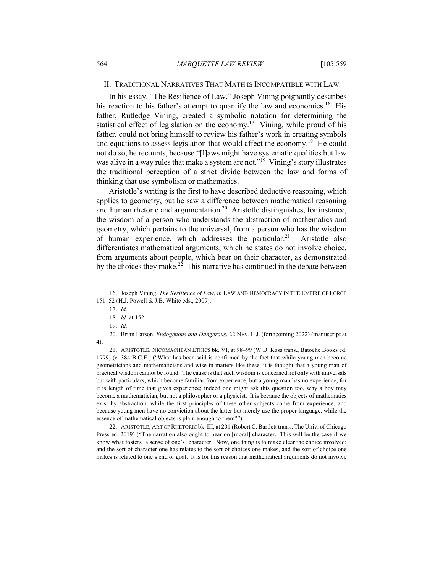## II. TRADITIONAL NARRATIVES THAT MATH IS INCOMPATIBLE WITH LAW

In his essay, "The Resilience of Law," Joseph Vining poignantly describes his reaction to his father's attempt to quantify the law and economics.<sup>16</sup> His father, Rutledge Vining, created a symbolic notation for determining the statistical effect of legislation on the economy.<sup>17</sup> Vining, while proud of his father, could not bring himself to review his father's work in creating symbols and equations to assess legislation that would affect the economy.<sup>18</sup> He could not do so, he recounts, because "[l]aws might have systematic qualities but law was alive in a way rules that make a system are not."<sup>19</sup> Vining's story illustrates the traditional perception of a strict divide between the law and forms of thinking that use symbolism or mathematics.

Aristotle's writing is the first to have described deductive reasoning, which applies to geometry, but he saw a difference between mathematical reasoning and human rhetoric and argumentation.<sup>20</sup> Aristotle distinguishes, for instance, the wisdom of a person who understands the abstraction of mathematics and geometry, which pertains to the universal, from a person who has the wisdom of human experience, which addresses the particular.<sup>21</sup> Aristotle also differentiates mathematical arguments, which he states do not involve choice, from arguments about people, which bear on their character, as demonstrated by the choices they make.<sup>22</sup> This narrative has continued in the debate between

20. Brian Larson, *Endogenous and Dangerous*, 22 NEV. L.J. (forthcoming 2022) (manuscript at 4).

21. ARISTOTLE, NICOMACHEAN ETHICS bk. VI, at 98–99 (W.D. Ross trans., Batoche Books ed. 1999) (c. 384 B.C.E.) ("What has been said is confirmed by the fact that while young men become geometricians and mathematicians and wise in matters like these, it is thought that a young man of practical wisdom cannot be found. The cause is that such wisdom is concerned not only with universals but with particulars, which become familiar from experience, but a young man has no experience, for it is length of time that gives experience; indeed one might ask this question too, why a boy may become a mathematician, but not a philosopher or a physicist. It is because the objects of mathematics exist by abstraction, while the first principles of these other subjects come from experience, and because young men have no conviction about the latter but merely use the proper language, while the essence of mathematical objects is plain enough to them?").

22. ARISTOTLE, ART OF RHETORIC bk. III, at 201 (Robert C. Bartlett trans., The Univ. of Chicago Press ed. 2019) ("The narration also ought to bear on [moral] character. This will be the case if we know what fosters [a sense of one's] character. Now, one thing is to make clear the choice involved; and the sort of character one has relates to the sort of choices one makes, and the sort of choice one makes is related to one's end or goal. It is for this reason that mathematical arguments do not involve

<sup>16.</sup> Joseph Vining, *The Resilience of Law*, *in* LAW AND DEMOCRACY IN THE EMPIRE OF FORCE 151–52 (H.J. Powell & J.B. White eds., 2009).

<sup>17.</sup> *Id.*

<sup>18.</sup> *Id.* at 152.

<sup>19.</sup> *Id.*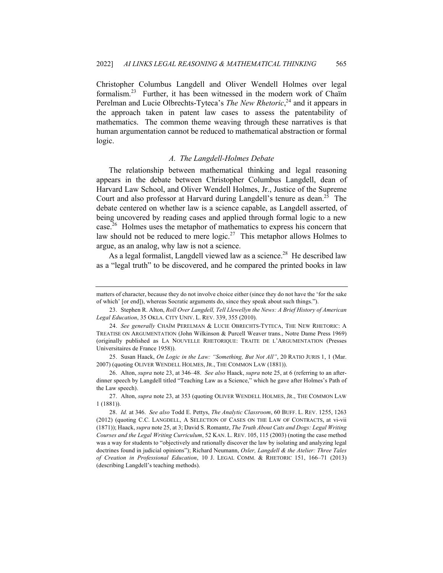Christopher Columbus Langdell and Oliver Wendell Holmes over legal formalism.23 Further, it has been witnessed in the modern work of Chaïm Perelman and Lucie Olbrechts-Tyteca's *The New Rhetoric*,<sup>24</sup> and it appears in the approach taken in patent law cases to assess the patentability of mathematics. The common theme weaving through these narratives is that human argumentation cannot be reduced to mathematical abstraction or formal logic.

## *A. The Langdell-Holmes Debate*

The relationship between mathematical thinking and legal reasoning appears in the debate between Christopher Columbus Langdell, dean of Harvard Law School, and Oliver Wendell Holmes, Jr., Justice of the Supreme Court and also professor at Harvard during Langdell's tenure as dean.<sup>25</sup> The debate centered on whether law is a science capable, as Langdell asserted, of being uncovered by reading cases and applied through formal logic to a new case.<sup>26</sup> Holmes uses the metaphor of mathematics to express his concern that law should not be reduced to mere logic.<sup>27</sup> This metaphor allows Holmes to argue, as an analog, why law is not a science.

As a legal formalist, Langdell viewed law as a science.<sup>28</sup> He described law as a "legal truth" to be discovered, and he compared the printed books in law

matters of character, because they do not involve choice either (since they do not have the 'for the sake of which' [or end]), whereas Socratic arguments do, since they speak about such things.").

<sup>23.</sup> Stephen R. Alton, *Roll Over Langdell, Tell Llewellyn the News: A Brief History of American Legal Education*, 35 OKLA. CITY UNIV. L. REV. 339, 355 (2010).

<sup>24.</sup> *See generally* CHAÏM PERELMAN & LUCIE OBRECHTS-TYTECA, THE NEW RHETORIC: A TREATISE ON ARGUMENTATION (John Wilkinson & Purcell Weaver trans., Notre Dame Press 1969) (originally published as LA NOUVELLE RHETORIQUE: TRAITE DE L'ARGUMENTATION (Presses Universitaires de France 1958)).

<sup>25.</sup> Susan Haack, *On Logic in the Law: "Something, But Not All"*, 20 RATIO JURIS 1, 1 (Mar. 2007) (quoting OLIVER WENDELL HOLMES, JR., THE COMMON LAW (1881)).

<sup>26.</sup> Alton, *supra* note 23, at 346–48. *See also* Haack, *supra* note 25, at 6 (referring to an afterdinner speech by Langdell titled "Teaching Law as a Science," which he gave after Holmes's Path of the Law speech).

<sup>27.</sup> Alton, *supra* note 23, at 353 (quoting OLIVER WENDELL HOLMES, JR., THE COMMON LAW 1 (1881)).

<sup>28.</sup> *Id.* at 346. *See also* Todd E. Pettys, *The Analytic Classroom*, 60 BUFF. L. REV. 1255, 1263 (2012) (quoting C.C. LANGDELL, A SELECTION OF CASES ON THE LAW OF CONTRACTS, at vi-vii (1871)); Haack, *supra* note 25, at 3; David S. Romantz, *The Truth About Cats and Dogs: Legal Writing Courses and the Legal Writing Curriculum*, 52 KAN. L. REV. 105, 115 (2003) (noting the case method was a way for students to "objectively and rationally discover the law by isolating and analyzing legal doctrines found in judicial opinions"); Richard Neumann, *Osler, Langdell & the Atelier: Three Tales of Creation in Professional Education*, 10 J. LEGAL COMM. & RHETORIC 151, 166–71 (2013) (describing Langdell's teaching methods).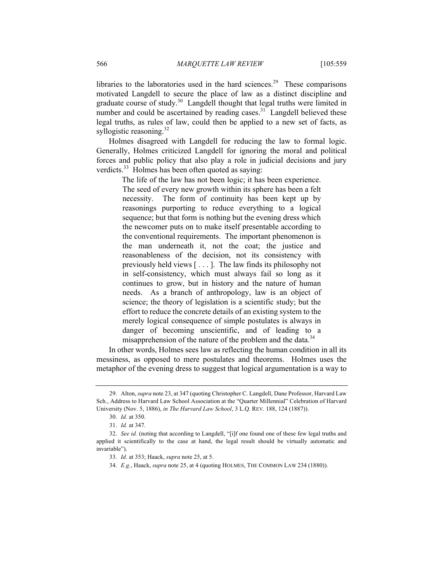libraries to the laboratories used in the hard sciences.<sup>29</sup> These comparisons motivated Langdell to secure the place of law as a distinct discipline and graduate course of study.<sup>30</sup> Langdell thought that legal truths were limited in number and could be ascertained by reading cases. $31$  Langdell believed these legal truths, as rules of law, could then be applied to a new set of facts, as syllogistic reasoning. $32$ 

Holmes disagreed with Langdell for reducing the law to formal logic. Generally, Holmes criticized Langdell for ignoring the moral and political forces and public policy that also play a role in judicial decisions and jury verdicts.<sup>33</sup> Holmes has been often quoted as saying:

> The life of the law has not been logic; it has been experience. The seed of every new growth within its sphere has been a felt necessity. The form of continuity has been kept up by reasonings purporting to reduce everything to a logical sequence; but that form is nothing but the evening dress which the newcomer puts on to make itself presentable according to the conventional requirements. The important phenomenon is the man underneath it, not the coat; the justice and reasonableness of the decision, not its consistency with previously held views [ . . . ]. The law finds its philosophy not in self-consistency, which must always fail so long as it continues to grow, but in history and the nature of human needs. As a branch of anthropology, law is an object of science; the theory of legislation is a scientific study; but the effort to reduce the concrete details of an existing system to the merely logical consequence of simple postulates is always in danger of becoming unscientific, and of leading to a misapprehension of the nature of the problem and the data.<sup>34</sup>

In other words, Holmes sees law as reflecting the human condition in all its messiness, as opposed to mere postulates and theorems. Holmes uses the metaphor of the evening dress to suggest that logical argumentation is a way to

<sup>29.</sup> Alton, *supra* note 23, at 347 (quoting Christopher C. Langdell, Dane Professor, Harvard Law Sch., Address to Harvard Law School Association at the "Quarter Millennial" Celebration of Harvard University (Nov. 5, 1886), *in The Harvard Law School*, 3 L.Q. REV. 188, 124 (1887)).

<sup>30.</sup> *Id.* at 350.

<sup>31.</sup> *Id.* at 347.

<sup>32.</sup> *See id.* (noting that according to Langdell, "[i]f one found one of these few legal truths and applied it scientifically to the case at hand, the legal result should be virtually automatic and invariable").

<sup>33.</sup> *Id.* at 353; Haack, *supra* note 25, at 5.

<sup>34.</sup> *E.g.*, Haack, *supra* note 25, at 4 (quoting HOLMES, THE COMMON LAW 234 (1880)).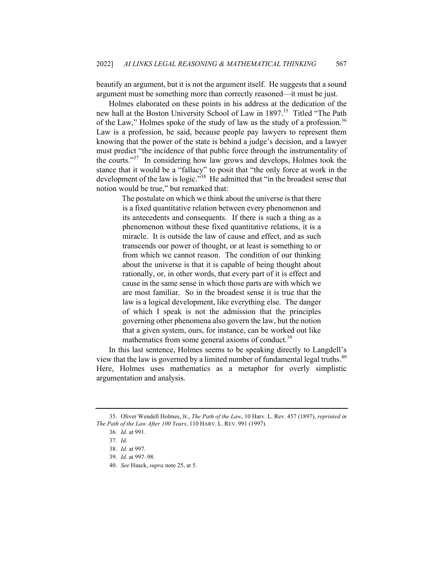beautify an argument, but it is not the argument itself. He suggests that a sound argument must be something more than correctly reasoned—it must be just.

Holmes elaborated on these points in his address at the dedication of the new hall at the Boston University School of Law in 1897.<sup>35</sup> Titled "The Path of the Law," Holmes spoke of the study of law as the study of a profession.<sup>36</sup> Law is a profession, he said, because people pay lawyers to represent them knowing that the power of the state is behind a judge's decision, and a lawyer must predict "the incidence of that public force through the instrumentality of the courts."<sup>37</sup> In considering how law grows and develops, Holmes took the stance that it would be a "fallacy" to posit that "the only force at work in the development of the law is logic."<sup>38</sup> He admitted that "in the broadest sense that notion would be true," but remarked that:

> The postulate on which we think about the universe is that there is a fixed quantitative relation between every phenomenon and its antecedents and consequents. If there is such a thing as a phenomenon without these fixed quantitative relations, it is a miracle. It is outside the law of cause and effect, and as such transcends our power of thought, or at least is something to or from which we cannot reason. The condition of our thinking about the universe is that it is capable of being thought about rationally, or, in other words, that every part of it is effect and cause in the same sense in which those parts are with which we are most familiar. So in the broadest sense it is true that the law is a logical development, like everything else. The danger of which I speak is not the admission that the principles governing other phenomena also govern the law, but the notion that a given system, ours, for instance, can be worked out like mathematics from some general axioms of conduct.<sup>39</sup>

In this last sentence, Holmes seems to be speaking directly to Langdell's view that the law is governed by a limited number of fundamental legal truths.<sup>40</sup> Here, Holmes uses mathematics as a metaphor for overly simplistic argumentation and analysis.

40. *See* Haack, *supra* note 25, at 5.

<sup>35.</sup> Oliver Wendell Holmes, Jr., *The Path of the Law*, 10 Harv. L. Rev. 457 (1897), *reprinted in The Path of the Law After 100 Years*, 110 HARV. L. REV. 991 (1997).

<sup>36.</sup> *Id.* at 991.

<sup>37.</sup> *Id.*

<sup>38.</sup> *Id.* at 997.

<sup>39.</sup> *Id.* at 997–98.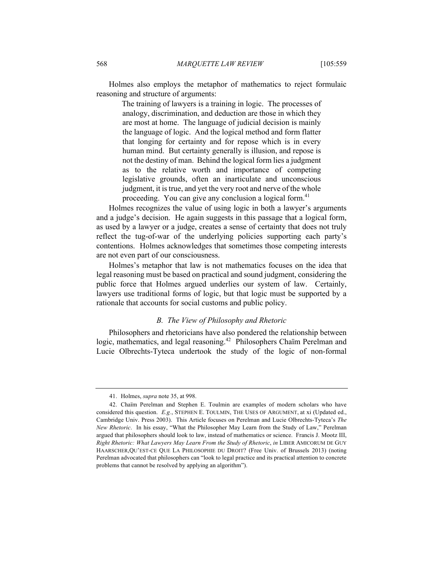Holmes also employs the metaphor of mathematics to reject formulaic reasoning and structure of arguments:

> The training of lawyers is a training in logic. The processes of analogy, discrimination, and deduction are those in which they are most at home. The language of judicial decision is mainly the language of logic. And the logical method and form flatter that longing for certainty and for repose which is in every human mind. But certainty generally is illusion, and repose is not the destiny of man. Behind the logical form lies a judgment as to the relative worth and importance of competing legislative grounds, often an inarticulate and unconscious judgment, it is true, and yet the very root and nerve of the whole proceeding. You can give any conclusion a logical form.<sup>41</sup>

Holmes recognizes the value of using logic in both a lawyer's arguments and a judge's decision. He again suggests in this passage that a logical form, as used by a lawyer or a judge, creates a sense of certainty that does not truly reflect the tug-of-war of the underlying policies supporting each party's contentions. Holmes acknowledges that sometimes those competing interests are not even part of our consciousness.

Holmes's metaphor that law is not mathematics focuses on the idea that legal reasoning must be based on practical and sound judgment, considering the public force that Holmes argued underlies our system of law. Certainly, lawyers use traditional forms of logic, but that logic must be supported by a rationale that accounts for social customs and public policy.

## *B. The View of Philosophy and Rhetoric*

Philosophers and rhetoricians have also pondered the relationship between logic, mathematics, and legal reasoning.<sup>42</sup> Philosophers Chaïm Perelman and Lucie Olbrechts-Tyteca undertook the study of the logic of non-formal

<sup>41.</sup> Holmes, *supra* note 35, at 998.

<sup>42.</sup> Chaïm Perelman and Stephen E. Toulmin are examples of modern scholars who have considered this question. *E.g.*, STEPHEN E. TOULMIN, THE USES OF ARGUMENT, at xi (Updated ed., Cambridge Univ. Press 2003). This Article focuses on Perelman and Lucie Olbrechts-Tyteca's *The New Rhetoric*. In his essay, "What the Philosopher May Learn from the Study of Law," Perelman argued that philosophers should look to law, instead of mathematics or science. Francis J. Mootz III, *Right Rhetoric: What Lawyers May Learn From the Study of Rhetoric*, *in* LIBER AMICORUM DE GUY HAARSCHER,QU'EST-CE QUE LA PHILOSOPHIE DU DROIT? (Free Univ. of Brussels 2013) (noting Perelman advocated that philosophers can "look to legal practice and its practical attention to concrete problems that cannot be resolved by applying an algorithm").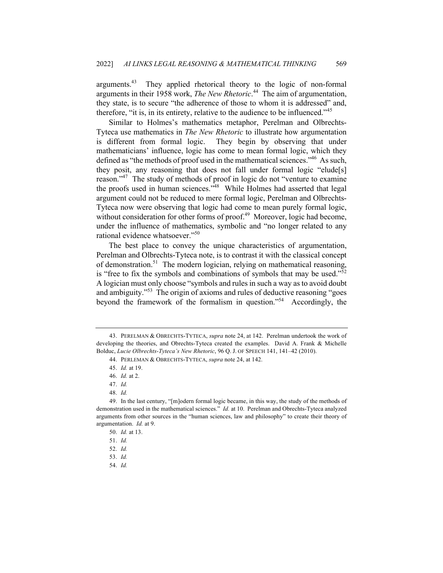arguments.<sup>43</sup> They applied rhetorical theory to the logic of non-formal arguments in their 1958 work, *The New Rhetoric*. 44 The aim of argumentation, they state, is to secure "the adherence of those to whom it is addressed" and, therefore, "it is, in its entirety, relative to the audience to be influenced."<sup>45</sup>

Similar to Holmes's mathematics metaphor, Perelman and Olbrechts-Tyteca use mathematics in *The New Rhetoric* to illustrate how argumentation is different from formal logic. They begin by observing that under mathematicians' influence, logic has come to mean formal logic, which they defined as "the methods of proof used in the mathematical sciences."46 As such, they posit, any reasoning that does not fall under formal logic "elude[s] reason."<sup>47</sup> The study of methods of proof in logic do not "venture to examine the proofs used in human sciences."<sup>48</sup> While Holmes had asserted that legal argument could not be reduced to mere formal logic, Perelman and Olbrechts-Tyteca now were observing that logic had come to mean purely formal logic, without consideration for other forms of proof.<sup>49</sup> Moreover, logic had become, under the influence of mathematics, symbolic and "no longer related to any rational evidence whatsoever."<sup>50</sup>

The best place to convey the unique characteristics of argumentation, Perelman and Olbrechts-Tyteca note, is to contrast it with the classical concept of demonstration.<sup>51</sup> The modern logician, relying on mathematical reasoning, is "free to fix the symbols and combinations of symbols that may be used."<sup>52</sup> A logician must only choose "symbols and rules in such a way as to avoid doubt and ambiguity."<sup>53</sup> The origin of axioms and rules of deductive reasoning "goes beyond the framework of the formalism in question."54 Accordingly, the

48. *Id.*

54. *Id.*

<sup>43.</sup> PERELMAN & OBRECHTS-TYTECA, *supra* note 24, at 142. Perelman undertook the work of developing the theories, and Obrechts-Tyteca created the examples. David A. Frank & Michelle Bolduc, *Lucie Olbrechts-Tyteca's New Rhetoric*, 96 Q. J. OF SPEECH 141, 141–42 (2010).

<sup>44.</sup> PERLEMAN & OBRECHTS-TYTECA, *supra* note 24, at 142.

<sup>45.</sup> *Id.* at 19.

<sup>46.</sup> *Id.* at 2.

<sup>47.</sup> *Id.*

<sup>49.</sup> In the last century, "[m]odern formal logic became, in this way, the study of the methods of demonstration used in the mathematical sciences." *Id.* at 10. Perelman and Obrechts-Tyteca analyzed arguments from other sources in the "human sciences, law and philosophy" to create their theory of argumentation. *Id.* at 9.

<sup>50.</sup> *Id.* at 13.

<sup>51.</sup> *Id.*

<sup>52.</sup> *Id.*

<sup>53.</sup> *Id.*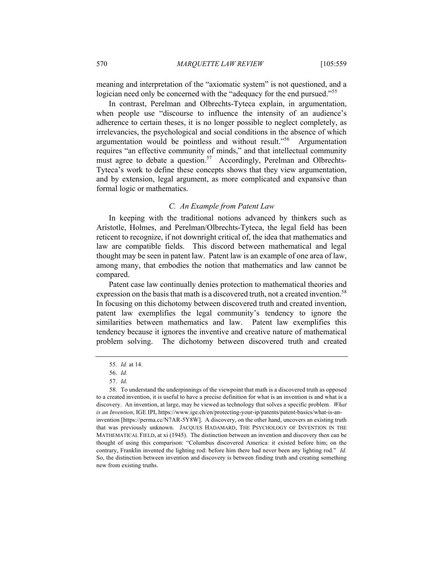meaning and interpretation of the "axiomatic system" is not questioned, and a logician need only be concerned with the "adequacy for the end pursued."<sup>55</sup>

In contrast, Perelman and Olbrechts-Tyteca explain, in argumentation, when people use "discourse to influence the intensity of an audience's adherence to certain theses, it is no longer possible to neglect completely, as irrelevancies, the psychological and social conditions in the absence of which argumentation would be pointless and without result."56 Argumentation requires "an effective community of minds," and that intellectual community must agree to debate a question.<sup>57</sup> Accordingly, Perelman and Olbrechts-Tyteca's work to define these concepts shows that they view argumentation, and by extension, legal argument, as more complicated and expansive than formal logic or mathematics.

### *C. An Example from Patent Law*

In keeping with the traditional notions advanced by thinkers such as Aristotle, Holmes, and Perelman/Olbrechts-Tyteca, the legal field has been reticent to recognize, if not downright critical of, the idea that mathematics and law are compatible fields. This discord between mathematical and legal thought may be seen in patent law. Patent law is an example of one area of law, among many, that embodies the notion that mathematics and law cannot be compared.

Patent case law continually denies protection to mathematical theories and expression on the basis that math is a discovered truth, not a created invention.<sup>58</sup> In focusing on this dichotomy between discovered truth and created invention, patent law exemplifies the legal community's tendency to ignore the similarities between mathematics and law. Patent law exemplifies this tendency because it ignores the inventive and creative nature of mathematical problem solving. The dichotomy between discovered truth and created

<sup>55.</sup> *Id.* at 14.

<sup>56.</sup> *Id.*

<sup>57.</sup> *Id.*

<sup>58.</sup> To understand the underpinnings of the viewpoint that math is a discovered truth as opposed to a created invention, it is useful to have a precise definition for what is an invention is and what is a discovery. An invention, at large, may be viewed as technology that solves a specific problem. *What is an Invention*, IGE IPI, https://www.ige.ch/en/protecting-your-ip/patents/patent-basics/what-is-aninvention [https://perma.cc/N7AR-5Y8W]. A discovery, on the other hand, uncovers an existing truth that was previously unknown. JACQUES HADAMARD, THE PSYCHOLOGY OF INVENTION IN THE MATHEMATICAL FIELD, at xi (1945). The distinction between an invention and discovery then can be thought of using this comparison: "Columbus discovered America: it existed before him; on the contrary, Franklin invented the lighting rod: before him there had never been any lighting rod." *Id.* So, the distinction between invention and discovery is between finding truth and creating something new from existing truths.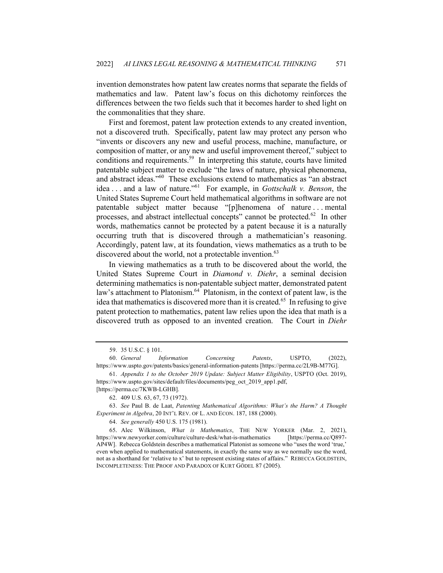invention demonstrates how patent law creates norms that separate the fields of mathematics and law. Patent law's focus on this dichotomy reinforces the differences between the two fields such that it becomes harder to shed light on the commonalities that they share.

First and foremost, patent law protection extends to any created invention, not a discovered truth. Specifically, patent law may protect any person who "invents or discovers any new and useful process, machine, manufacture, or composition of matter, or any new and useful improvement thereof," subject to conditions and requirements.<sup>59</sup> In interpreting this statute, courts have limited patentable subject matter to exclude "the laws of nature, physical phenomena, and abstract ideas."60 These exclusions extend to mathematics as "an abstract idea . . . and a law of nature."61 For example, in *Gottschalk v. Benson*, the United States Supreme Court held mathematical algorithms in software are not patentable subject matter because "[p]henomena of nature . . . mental processes, and abstract intellectual concepts" cannot be protected.<sup>62</sup> In other words, mathematics cannot be protected by a patent because it is a naturally occurring truth that is discovered through a mathematician's reasoning. Accordingly, patent law, at its foundation, views mathematics as a truth to be discovered about the world, not a protectable invention.<sup>63</sup>

In viewing mathematics as a truth to be discovered about the world, the United States Supreme Court in *Diamond v. Diehr*, a seminal decision determining mathematics is non-patentable subject matter, demonstrated patent law's attachment to Platonism.<sup>64</sup> Platonism, in the context of patent law, is the idea that mathematics is discovered more than it is created.<sup>65</sup> In refusing to give patent protection to mathematics, patent law relies upon the idea that math is a discovered truth as opposed to an invented creation. The Court in *Diehr* 

64. *See generally* 450 U.S. 175 (1981).

65*.* Alec Wilkinson, *What is Mathematics*, THE NEW YORKER (Mar. 2, 2021), https://www.newyorker.com/culture/culture-desk/what-is-mathematics [https://perma.cc/Q897- AP4W]. Rebecca Goldstein describes a mathematical Platonist as someone who "uses the word 'true,' even when applied to mathematical statements, in exactly the same way as we normally use the word, not as a shorthand for 'relative to x' but to represent existing states of affairs." REBECCA GOLDSTEIN, INCOMPLETENESS: THE PROOF AND PARADOX OF KURT GÖDEL 87 (2005).

<sup>59.</sup> 35 U.S.C. § 101.

<sup>60.</sup> *General Information Concerning Patents*, USPTO, (2022), https://www.uspto.gov/patents/basics/general-information-patents [https://perma.cc/2L9B-M77G].

<sup>61.</sup> *Appendix 1 to the October 2019 Update: Subject Matter Eligibility*, USPTO (Oct. 2019), https://www.uspto.gov/sites/default/files/documents/peg\_oct\_2019\_app1.pdf,

<sup>[</sup>https://perma.cc/7KWB-LGHB]. 62. 409 U.S. 63, 67, 73 (1972).

<sup>63.</sup> *See* Paul B. de Laat, *Patenting Mathematical Algorithms: What's the Harm? A Thought Experiment in Algebra*, 20 INT'L REV. OF L. AND ECON. 187, 188 (2000).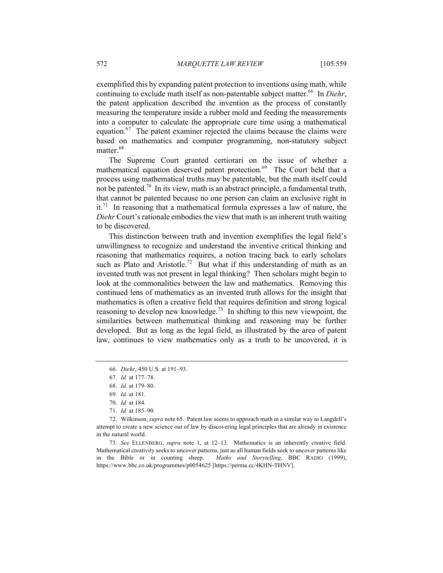exemplified this by expanding patent protection to inventions using math, while continuing to exclude math itself as non-patentable subject matter.<sup>66</sup> In *Diehr*, the patent application described the invention as the process of constantly measuring the temperature inside a rubber mold and feeding the measurements into a computer to calculate the appropriate cure time using a mathematical equation. $67$  The patent examiner rejected the claims because the claims were based on mathematics and computer programming, non-statutory subject matter.<sup>68</sup>

The Supreme Court granted certiorari on the issue of whether a mathematical equation deserved patent protection.<sup>69</sup> The Court held that a process using mathematical truths may be patentable, but the math itself could not be patented.<sup>70</sup> In its view, math is an abstract principle, a fundamental truth, that cannot be patented because no one person can claim an exclusive right in it.<sup>71</sup> In reasoning that a mathematical formula expresses a law of nature, the *Diehr* Court's rationale embodies the view that math is an inherent truth waiting to be discovered.

This distinction between truth and invention exemplifies the legal field's unwillingness to recognize and understand the inventive critical thinking and reasoning that mathematics requires, a notion tracing back to early scholars such as Plato and Aristotle.<sup>72</sup> But what if this understanding of math as an invented truth was not present in legal thinking? Then scholars might begin to look at the commonalities between the law and mathematics. Removing this continued lens of mathematics as an invented truth allows for the insight that mathematics is often a creative field that requires definition and strong logical reasoning to develop new knowledge.<sup>73</sup> In shifting to this new viewpoint, the similarities between mathematical thinking and reasoning may be further developed. But as long as the legal field, as illustrated by the area of patent law, continues to view mathematics only as a truth to be uncovered, it is

<sup>66.</sup> *Diehr*, 450 U.S. at 191–93.

<sup>67.</sup> *Id.* at 177–78.

<sup>68.</sup> *Id.* at 179–80.

<sup>69.</sup> *Id.* at 181.

<sup>70.</sup> *Id.* at 184.

<sup>71.</sup> *Id.* at 185–90.

<sup>72.</sup> Wilkinson, *supra* note 65. Patent law seems to approach math in a similar way to Langdell's attempt to create a new science out of law by discovering legal principles that are already in existence in the natural world.

<sup>73.</sup> *See* ELLENBERG, *supra* note 1, at 12–13. Mathematics is an inherently creative field. Mathematical creativity seeks to uncover patterns, just as all human fields seek to uncover patterns like in the Bible or in counting sheep. *Maths and Storytelling*, BBC RADIO (1999), https://www.bbc.co.uk/programmes/p0054625 [https://perma.cc/4KHN-THNV].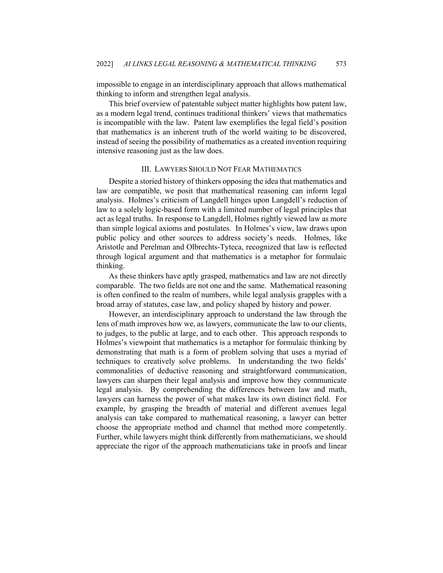impossible to engage in an interdisciplinary approach that allows mathematical thinking to inform and strengthen legal analysis.

This brief overview of patentable subject matter highlights how patent law, as a modern legal trend, continues traditional thinkers' views that mathematics is incompatible with the law. Patent law exemplifies the legal field's position that mathematics is an inherent truth of the world waiting to be discovered, instead of seeing the possibility of mathematics as a created invention requiring intensive reasoning just as the law does.

## III. LAWYERS SHOULD NOT FEAR MATHEMATICS

Despite a storied history of thinkers opposing the idea that mathematics and law are compatible, we posit that mathematical reasoning can inform legal analysis. Holmes's criticism of Langdell hinges upon Langdell's reduction of law to a solely logic-based form with a limited number of legal principles that act as legal truths. In response to Langdell, Holmes rightly viewed law as more than simple logical axioms and postulates. In Holmes's view, law draws upon public policy and other sources to address society's needs. Holmes, like Aristotle and Perelman and Olbrechts-Tyteca, recognized that law is reflected through logical argument and that mathematics is a metaphor for formulaic thinking.

As these thinkers have aptly grasped, mathematics and law are not directly comparable. The two fields are not one and the same. Mathematical reasoning is often confined to the realm of numbers, while legal analysis grapples with a broad array of statutes, case law, and policy shaped by history and power.

However, an interdisciplinary approach to understand the law through the lens of math improves how we, as lawyers, communicate the law to our clients, to judges, to the public at large, and to each other. This approach responds to Holmes's viewpoint that mathematics is a metaphor for formulaic thinking by demonstrating that math is a form of problem solving that uses a myriad of techniques to creatively solve problems. In understanding the two fields' commonalities of deductive reasoning and straightforward communication, lawyers can sharpen their legal analysis and improve how they communicate legal analysis. By comprehending the differences between law and math, lawyers can harness the power of what makes law its own distinct field. For example, by grasping the breadth of material and different avenues legal analysis can take compared to mathematical reasoning, a lawyer can better choose the appropriate method and channel that method more competently. Further, while lawyers might think differently from mathematicians, we should appreciate the rigor of the approach mathematicians take in proofs and linear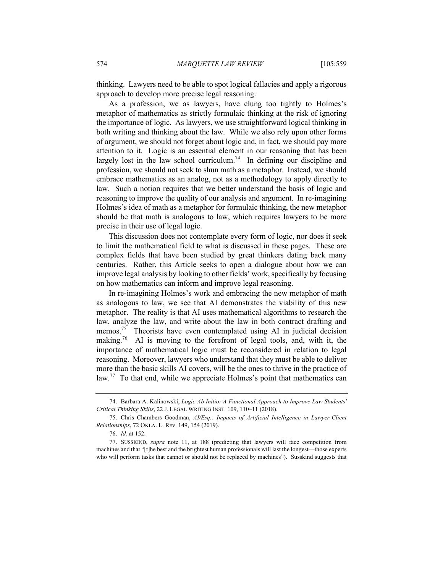thinking. Lawyers need to be able to spot logical fallacies and apply a rigorous approach to develop more precise legal reasoning.

As a profession, we as lawyers, have clung too tightly to Holmes's metaphor of mathematics as strictly formulaic thinking at the risk of ignoring the importance of logic. As lawyers, we use straightforward logical thinking in both writing and thinking about the law. While we also rely upon other forms of argument, we should not forget about logic and, in fact, we should pay more attention to it. Logic is an essential element in our reasoning that has been largely lost in the law school curriculum.<sup>74</sup> In defining our discipline and profession, we should not seek to shun math as a metaphor. Instead, we should embrace mathematics as an analog, not as a methodology to apply directly to law. Such a notion requires that we better understand the basis of logic and reasoning to improve the quality of our analysis and argument. In re-imagining Holmes's idea of math as a metaphor for formulaic thinking, the new metaphor should be that math is analogous to law, which requires lawyers to be more precise in their use of legal logic.

This discussion does not contemplate every form of logic, nor does it seek to limit the mathematical field to what is discussed in these pages. These are complex fields that have been studied by great thinkers dating back many centuries. Rather, this Article seeks to open a dialogue about how we can improve legal analysis by looking to other fields' work, specifically by focusing on how mathematics can inform and improve legal reasoning.

In re-imagining Holmes's work and embracing the new metaphor of math as analogous to law, we see that AI demonstrates the viability of this new metaphor. The reality is that AI uses mathematical algorithms to research the law, analyze the law, and write about the law in both contract drafting and memos.<sup>75</sup> Theorists have even contemplated using AI in judicial decision making.<sup>76</sup> AI is moving to the forefront of legal tools, and, with it, the importance of mathematical logic must be reconsidered in relation to legal reasoning. Moreover, lawyers who understand that they must be able to deliver more than the basic skills AI covers, will be the ones to thrive in the practice of law.<sup>77</sup> To that end, while we appreciate Holmes's point that mathematics can

<sup>74.</sup> Barbara A. Kalinowski, *Logic Ab Initio: A Functional Approach to Improve Law Students' Critical Thinking Skills*, 22 J. LEGAL WRITING INST. 109, 110–11 (2018).

<sup>75.</sup> Chris Chambers Goodman, *AI/Esq.: Impacts of Artificial Intelligence in Lawyer-Client Relationships*, 72 OKLA. L. Rᴇᴠ. 149, 154 (2019).

<sup>76.</sup> *Id.* at 152.

<sup>77.</sup> SUSSKIND, *supra* note 11, at 188 (predicting that lawyers will face competition from machines and that "[t]he best and the brightest human professionals will last the longest—those experts who will perform tasks that cannot or should not be replaced by machines"). Susskind suggests that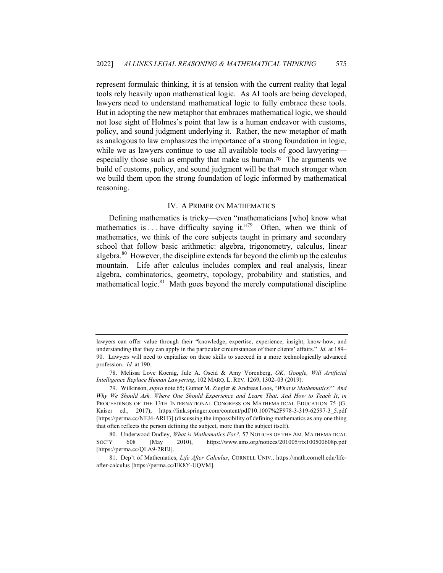represent formulaic thinking, it is at tension with the current reality that legal tools rely heavily upon mathematical logic. As AI tools are being developed, lawyers need to understand mathematical logic to fully embrace these tools. But in adopting the new metaphor that embraces mathematical logic, we should not lose sight of Holmes's point that law is a human endeavor with customs, policy, and sound judgment underlying it. Rather, the new metaphor of math as analogous to law emphasizes the importance of a strong foundation in logic, while we as lawyers continue to use all available tools of good lawyering especially those such as empathy that make us human.78 The arguments we build of customs, policy, and sound judgment will be that much stronger when we build them upon the strong foundation of logic informed by mathematical reasoning.

#### IV. A PRIMER ON MATHEMATICS

Defining mathematics is tricky—even "mathematicians [who] know what mathematics is ... have difficulty saying it."<sup>79</sup> Often, when we think of mathematics, we think of the core subjects taught in primary and secondary school that follow basic arithmetic: algebra, trigonometry, calculus, linear algebra. $80$  However, the discipline extends far beyond the climb up the calculus mountain. Life after calculus includes complex and real analysis, linear algebra, combinatorics, geometry, topology, probability and statistics, and mathematical logic. $81$  Math goes beyond the merely computational discipline

lawyers can offer value through their "knowledge, expertise, experience, insight, know-how, and understanding that they can apply in the particular circumstances of their clients' affairs." *Id.* at 189– 90. Lawyers will need to capitalize on these skills to succeed in a more technologically advanced profession. *Id.* at 190.

<sup>78.</sup> Melissa Love Koenig, Jule A. Oseid & Amy Vorenberg, *OK, Google, Will Artificial Intelligence Replace Human Lawyering*, 102 MARQ. L. REV. 1269, 1302–03 (2019).

<sup>79.</sup> Wilkinson, *supra* note 65; Gunter M. Ziegler & Andreas Loos, "*What is Mathematics?" And Why We Should Ask, Where One Should Experience and Learn That, And How to Teach It*, *in* PROCEEDINGS OF THE 13TH INTERNATIONAL CONGRESS ON MATHEMATICAL EDUCATION 75 (G. Kaiser ed., 2017), https://link.springer.com/content/pdf/10.1007%2F978-3-319-62597-3\_5.pdf [https://perma.cc/NEJ4-ARH3] (discussing the impossibility of defining mathematics as any one thing that often reflects the person defining the subject, more than the subject itself).

<sup>80.</sup> Underwood Dudley, *What is Mathematics For?*, 57 NOTICES OF THE AM. MATHEMATICAL SOC'Y 608 (May 2010), https://www.ams.org/notices/201005/rtx100500608p.pdf [https://perma.cc/QLA9-2REJ].

<sup>81.</sup> Dep't of Mathematics, *Life After Calculus*, CORNELL UNIV., https://math.cornell.edu/lifeafter-calculus [https://perma.cc/EK8Y-UQVM].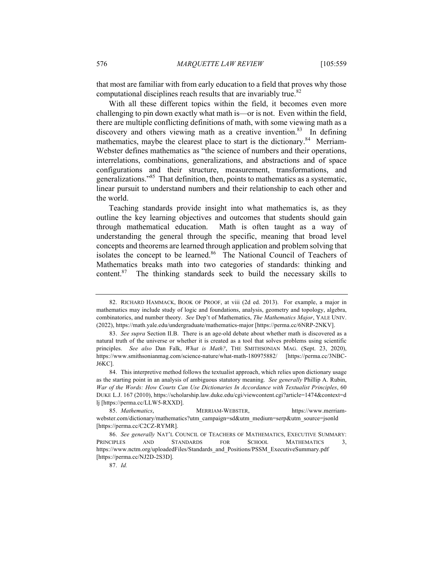that most are familiar with from early education to a field that proves why those computational disciplines reach results that are invariably true.<sup>82</sup>

With all these different topics within the field, it becomes even more challenging to pin down exactly what math is—or is not. Even within the field, there are multiple conflicting definitions of math, with some viewing math as a discovery and others viewing math as a creative invention.<sup>83</sup> In defining mathematics, maybe the clearest place to start is the dictionary.<sup>84</sup> Merriam-Webster defines mathematics as "the science of numbers and their operations, interrelations, combinations, generalizations, and abstractions and of space configurations and their structure, measurement, transformations, and generalizations."85 That definition, then, points to mathematics as a systematic, linear pursuit to understand numbers and their relationship to each other and the world.

Teaching standards provide insight into what mathematics is, as they outline the key learning objectives and outcomes that students should gain through mathematical education. Math is often taught as a way of understanding the general through the specific, meaning that broad level concepts and theorems are learned through application and problem solving that isolates the concept to be learned.<sup>86</sup> The National Council of Teachers of Mathematics breaks math into two categories of standards: thinking and content.<sup>87</sup> The thinking standards seek to build the necessary skills to

<sup>82.</sup> RICHARD HAMMACK, BOOK OF PROOF, at viii (2d ed. 2013). For example, a major in mathematics may include study of logic and foundations, analysis, geometry and topology, algebra, combinatorics, and number theory. *See* Dep't of Mathematics, *The Mathematics Major*, YALE UNIV. (2022), https://math.yale.edu/undergraduate/mathematics-major [https://perma.cc/6NRP-2NKV].

<sup>83.</sup> *See supra* Section II.B. There is an age-old debate about whether math is discovered as a natural truth of the universe or whether it is created as a tool that solves problems using scientific principles. *See also* Dan Falk, *What is Math?*, THE SMITHSONIAN MAG. (Sept. 23, 2020), https://www.smithsonianmag.com/science-nature/what-math-180975882/ [https://perma.cc/3NBC-J6KC].

<sup>84.</sup> This interpretive method follows the textualist approach, which relies upon dictionary usage as the starting point in an analysis of ambiguous statutory meaning. *See generally* Phillip A. Rubin, *War of the Words: How Courts Can Use Dictionaries In Accordance with Textualist Principles*, 60 DUKE L.J. 167 (2010), https://scholarship.law.duke.edu/cgi/viewcontent.cgi?article=1474&context=d lj [https://perma.cc/LLW5-RXXD].

<sup>85.</sup> *Mathematics*, MERRIAM-WEBSTER, https://www.merriamwebster.com/dictionary/mathematics?utm\_campaign=sd&utm\_medium=serp&utm\_source=jsonld [https://perma.cc/C2CZ-RYMR].

<sup>86.</sup> *See generally* NAT'L COUNCIL OF TEACHERS OF MATHEMATICS, EXECUTIVE SUMMARY: PRINCIPLES AND STANDARDS FOR SCHOOL MATHEMATICS 3, https://www.nctm.org/uploadedFiles/Standards\_and\_Positions/PSSM\_ExecutiveSummary.pdf [https://perma.cc/NJ2D-2S3D].

<sup>87.</sup> *Id.*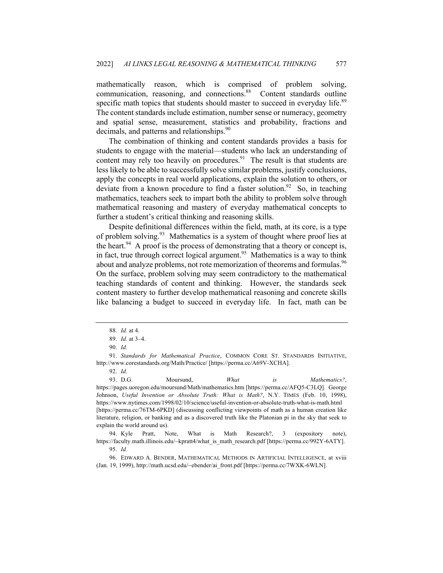mathematically reason, which is comprised of problem solving, communication, reasoning, and connections.<sup>88</sup> Content standards outline specific math topics that students should master to succeed in everyday life.<sup>89</sup> The content standards include estimation, number sense or numeracy, geometry and spatial sense, measurement, statistics and probability, fractions and decimals, and patterns and relationships.<sup>90</sup>

The combination of thinking and content standards provides a basis for students to engage with the material—students who lack an understanding of content may rely too heavily on procedures. $91$  The result is that students are less likely to be able to successfully solve similar problems, justify conclusions, apply the concepts in real world applications, explain the solution to others, or deviate from a known procedure to find a faster solution.<sup>92</sup> So, in teaching mathematics, teachers seek to impart both the ability to problem solve through mathematical reasoning and mastery of everyday mathematical concepts to further a student's critical thinking and reasoning skills.

Despite definitional differences within the field, math, at its core, is a type of problem solving.<sup>93</sup> Mathematics is a system of thought where proof lies at the heart.<sup>94</sup> A proof is the process of demonstrating that a theory or concept is, in fact, true through correct logical argument.<sup>95</sup> Mathematics is a way to think about and analyze problems, not rote memorization of theorems and formulas.<sup>96</sup> On the surface, problem solving may seem contradictory to the mathematical teaching standards of content and thinking. However, the standards seek content mastery to further develop mathematical reasoning and concrete skills like balancing a budget to succeed in everyday life. In fact, math can be

<sup>88.</sup> *Id.* at 4.

<sup>89.</sup> *Id.* at 3–4.

<sup>90.</sup> *Id.*

<sup>91.</sup> *Standards for Mathematical Practice*, COMMON CORE ST. STANDARDS INITIATIVE, http://www.corestandards.org/Math/Practice/ [https://perma.cc/A69V-XCHA].

<sup>92.</sup> *Id.*

<sup>93.</sup> D.G. Moursund, *What is Mathematics?*, https://pages.uoregon.edu/moursund/Math/mathematics.htm [https://perma.cc/AFQ5-C3LQ]. George Johnson, *Useful Invention or Absolute Truth: What is Math?*, N.Y. TIMES (Feb. 10, 1998), https://www.nytimes.com/1998/02/10/science/useful-invention-or-absolute-truth-what-is-math.html [https://perma.cc/76TM-6PKD] (discussing conflicting viewpoints of math as a human creation like literature, religion, or banking and as a discovered truth like the Platonian pi in the sky that seek to explain the world around us).

<sup>94.</sup> Kyle Pratt, Note, What is Math Research?, 3 (expository note), https://faculty.math.illinois.edu/~kpratt4/what\_is\_math\_research.pdf [https://perma.cc/992Y-6ATY]. 95. *Id.*

<sup>96.</sup> EDWARD A. BENDER, MATHEMATICAL METHODS IN ARTIFICIAL INTELLIGENCE, at xviii (Jan. 19, 1999), http://math.ucsd.edu/~ebender/ai\_front.pdf [https://perma.cc/7WXK-6WLN].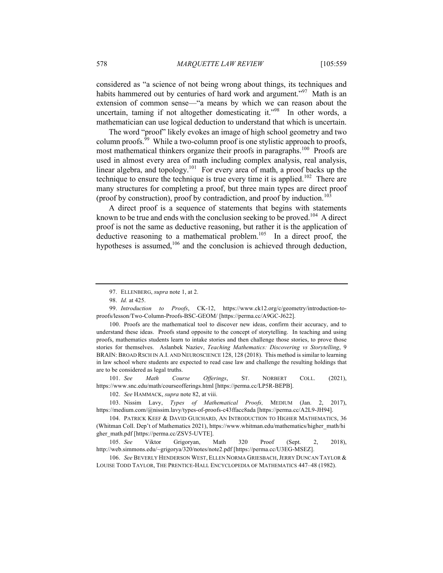considered as "a science of not being wrong about things, its techniques and habits hammered out by centuries of hard work and argument."<sup>97</sup> Math is an extension of common sense—"a means by which we can reason about the uncertain, taming if not altogether domesticating it."<sup>98</sup> In other words, a mathematician can use logical deduction to understand that which is uncertain.

The word "proof" likely evokes an image of high school geometry and two column proofs.<sup>99</sup> While a two-column proof is one stylistic approach to proofs, most mathematical thinkers organize their proofs in paragraphs.<sup>100</sup> Proofs are used in almost every area of math including complex analysis, real analysis, linear algebra, and topology.<sup>101</sup> For every area of math, a proof backs up the technique to ensure the technique is true every time it is applied.<sup>102</sup> There are many structures for completing a proof, but three main types are direct proof (proof by construction), proof by contradiction, and proof by induction.<sup>103</sup>

A direct proof is a sequence of statements that begins with statements known to be true and ends with the conclusion seeking to be proved.<sup>104</sup> A direct proof is not the same as deductive reasoning, but rather it is the application of deductive reasoning to a mathematical problem.<sup>105</sup> In a direct proof, the hypotheses is assumed,<sup>106</sup> and the conclusion is achieved through deduction,

100. Proofs are the mathematical tool to discover new ideas, confirm their accuracy, and to understand these ideas. Proofs stand opposite to the concept of storytelling. In teaching and using proofs, mathematics students learn to intake stories and then challenge those stories, to prove those stories for themselves. Aslanbek Naziev, *Teaching Mathematics: Discovering vs Storytelling*, 9 BRAIN: BROAD RSCH IN A.I. AND NEUROSCIENCE 128, 128 (2018). This method is similar to learning in law school where students are expected to read case law and challenge the resulting holdings that are to be considered as legal truths.

101. *See Math Course Offerings*, ST. NORBERT COLL. (2021), https://www.snc.edu/math/courseofferings.html [https://perma.cc/LP5R-BEPB].

102. *See* HAMMACK, *supra* note 82, at viii.

103. Nissim Lavy, *Types of Mathematical Proofs,* MEDIUM (Jan. 2, 2017), https://medium.com/@nissim.lavy/types-of-proofs-c43ffacc8ada [https://perma.cc/A2L9-JH94].

104. PATRICK KEEF & DAVID GUICHARD, AN INTRODUCTION TO HIGHER MATHEMATICS, 36 (Whitman Coll. Dep't of Mathematics 2021), https://www.whitman.edu/mathematics/higher\_math/hi gher\_math.pdf [https://perma.cc/ZSV5-UVTE].

105. *See* Viktor Grigoryan, Math 320 Proof (Sept. 2, 2018), http://web.simmons.edu/~grigorya/320/notes/note2.pdf [https://perma.cc/U3EG-MSEZ].

106. *See* BEVERLY HENDERSON WEST, ELLEN NORMA GRIESBACH,JERRY DUNCAN TAYLOR & LOUISE TODD TAYLOR, THE PRENTICE-HALL ENCYCLOPEDIA OF MATHEMATICS 447–48 (1982).

<sup>97.</sup> ELLENBERG, *supra* note 1, at 2.

<sup>98.</sup> *Id.* at 425.

<sup>99.</sup> *Introduction to Proofs*, CK-12, https://www.ck12.org/c/geometry/introduction-toproofs/lesson/Two-Column-Proofs-BSC-GEOM/ [https://perma.cc/A9GC-J622].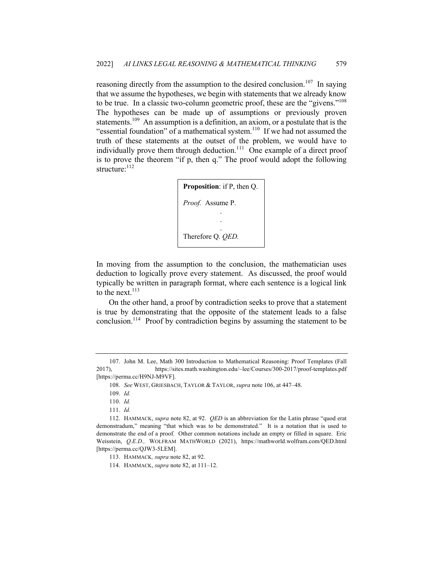reasoning directly from the assumption to the desired conclusion.<sup>107</sup> In saying that we assume the hypotheses, we begin with statements that we already know to be true. In a classic two-column geometric proof, these are the "givens."<sup>108</sup> The hypotheses can be made up of assumptions or previously proven statements.<sup>109</sup> An assumption is a definition, an axiom, or a postulate that is the "essential foundation" of a mathematical system. $110$  If we had not assumed the truth of these statements at the outset of the problem, we would have to individually prove them through deduction.<sup>111</sup> One example of a direct proof is to prove the theorem "if p, then q." The proof would adopt the following structure: $112$ 



In moving from the assumption to the conclusion, the mathematician uses deduction to logically prove every statement. As discussed, the proof would typically be written in paragraph format, where each sentence is a logical link to the next.  $^{113}$ 

On the other hand, a proof by contradiction seeks to prove that a statement is true by demonstrating that the opposite of the statement leads to a false conclusion.<sup>114</sup> Proof by contradiction begins by assuming the statement to be

<sup>107.</sup> John M. Lee, Math 300 Introduction to Mathematical Reasoning: Proof Templates (Fall 2017), https://sites.math.washington.edu/~lee/Courses/300-2017/proof-templates.pdf [https://perma.cc/H9NJ-M9VF].

<sup>108.</sup> *See* WEST, GRIESBACH, TAYLOR & TAYLOR, *supra* note 106, at 447–48.

<sup>109.</sup> *Id.*

<sup>110.</sup> *Id.*

<sup>111.</sup> *Id.*

<sup>112.</sup> HAMMACK, *supra* note 82, at 92. *QED* is an abbreviation for the Latin phrase "quod erat demonstradum," meaning "that which was to be demonstrated." It is a notation that is used to demonstrate the end of a proof. Other common notations include an empty or filled in square. Eric Weisstein, *Q.E.D.,* WOLFRAM MATHWORLD (2021), https://mathworld.wolfram.com/QED.html [https://perma.cc/QJW3-5LEM].

<sup>113.</sup> HAMMACK*, supra* note 82, at 92.

<sup>114.</sup> HAMMACK, *supra* note 82, at 111–12.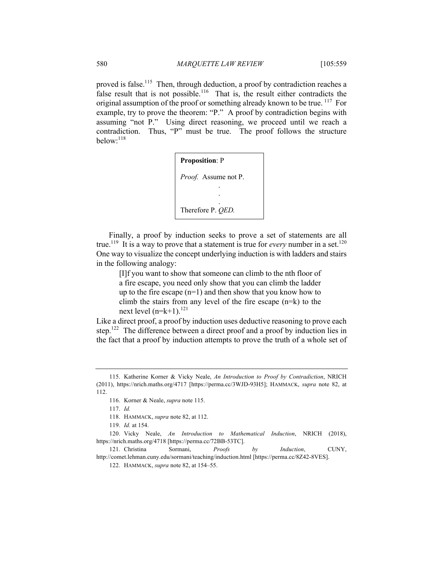proved is false.<sup>115</sup> Then, through deduction, a proof by contradiction reaches a false result that is not possible.<sup>116</sup> That is, the result either contradicts the original assumption of the proof or something already known to be true. <sup>117</sup> For example, try to prove the theorem: "P." A proof by contradiction begins with assuming "not P." Using direct reasoning, we proceed until we reach a contradiction. Thus, "P" must be true. The proof follows the structure below:<sup>118</sup>

Finally, a proof by induction seeks to prove a set of statements are all true.<sup>119</sup> It is a way to prove that a statement is true for *every* number in a set.<sup>120</sup> One way to visualize the concept underlying induction is with ladders and stairs in the following analogy:

[I]f you want to show that someone can climb to the nth floor of a fire escape, you need only show that you can climb the ladder up to the fire escape  $(n=1)$  and then show that you know how to climb the stairs from any level of the fire escape  $(n=k)$  to the next level  $(n=k+1)$ .<sup>121</sup>

Like a direct proof, a proof by induction uses deductive reasoning to prove each step.<sup>122</sup> The difference between a direct proof and a proof by induction lies in the fact that a proof by induction attempts to prove the truth of a whole set of

<sup>115.</sup> Katherine Korner & Vicky Neale, *An Introduction to Proof by Contradiction*, NRICH (2011), https://nrich.maths.org/4717 [https://perma.cc/3WJD-93H5]; HAMMACK, *supra* note 82, at 112.

<sup>116.</sup> Korner & Neale, *supra* note 115.

<sup>117.</sup> *Id.*

<sup>118.</sup> HAMMACK, *supra* note 82, at 112.

<sup>119.</sup> *Id.* at 154.

<sup>120.</sup> Vicky Neale, *An Introduction to Mathematical Induction*, NRICH (2018), https://nrich.maths.org/4718 [https://perma.cc/72BB-53TC].

<sup>121.</sup> Christina Sormani, *Proofs by Induction*, CUNY, http://comet.lehman.cuny.edu/sormani/teaching/induction.html [https://perma.cc/8Z42-8VES].

<sup>122.</sup> HAMMACK, *supra* note 82, at 154–55.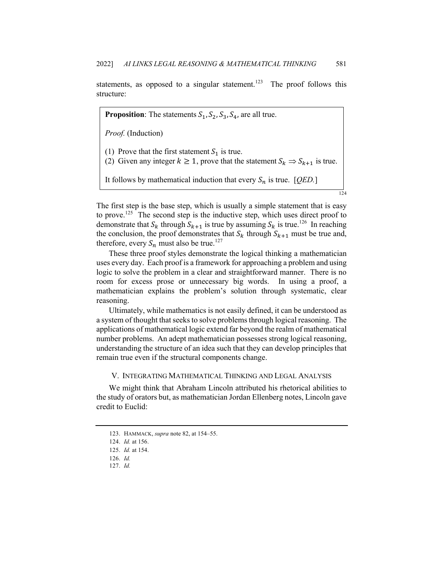statements, as opposed to a singular statement.<sup>123</sup> The proof follows this structure:

124 **Proposition**: The statements  $S_1$ ,  $S_2$ ,  $S_3$ ,  $S_4$ , are all true. *Proof.* (Induction) (1) Prove that the first statement  $S_1$  is true. (2) Given any integer  $k \ge 1$ , prove that the statement  $S_k \Rightarrow S_{k+1}$  is true. It follows by mathematical induction that every  $S_n$  is true. [*QED.*]

The first step is the base step, which is usually a simple statement that is easy to prove.<sup>125</sup> The second step is the inductive step, which uses direct proof to demonstrate that  $S_k$  through  $S_{k+1}$  is true by assuming  $S_k$  is true.<sup>126</sup> In reaching the conclusion, the proof demonstrates that  $S_k$  through  $S_{k+1}$  must be true and, therefore, every  $S_n$  must also be true.<sup>127</sup>

These three proof styles demonstrate the logical thinking a mathematician uses every day. Each proof is a framework for approaching a problem and using logic to solve the problem in a clear and straightforward manner. There is no room for excess prose or unnecessary big words. In using a proof, a mathematician explains the problem's solution through systematic, clear reasoning.

Ultimately, while mathematics is not easily defined, it can be understood as a system of thought that seeks to solve problems through logical reasoning. The applications of mathematical logic extend far beyond the realm of mathematical number problems. An adept mathematician possesses strong logical reasoning, understanding the structure of an idea such that they can develop principles that remain true even if the structural components change.

## V. INTEGRATING MATHEMATICAL THINKING AND LEGAL ANALYSIS

We might think that Abraham Lincoln attributed his rhetorical abilities to the study of orators but, as mathematician Jordan Ellenberg notes, Lincoln gave credit to Euclid:

<sup>123.</sup> HAMMACK, *supra* note 82, at 154–55.

<sup>124.</sup> *Id.* at 156.

<sup>125.</sup> *Id.* at 154.

<sup>126.</sup> *Id.*

<sup>127.</sup> *Id.*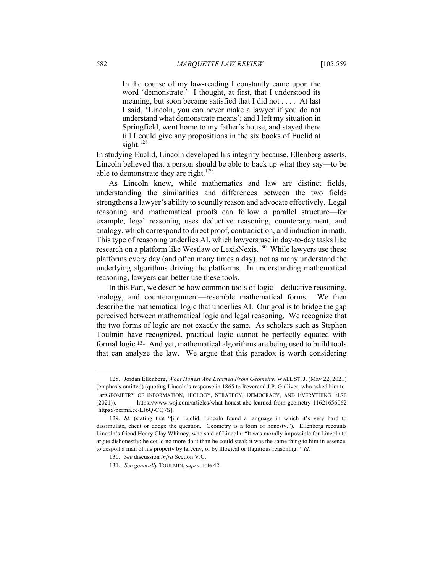In the course of my law-reading I constantly came upon the word 'demonstrate.' I thought, at first, that I understood its meaning, but soon became satisfied that I did not . . . . At last I said, 'Lincoln, you can never make a lawyer if you do not understand what demonstrate means'; and I left my situation in Springfield, went home to my father's house, and stayed there till I could give any propositions in the six books of Euclid at sight. $128$ 

In studying Euclid, Lincoln developed his integrity because, Ellenberg asserts, Lincoln believed that a person should be able to back up what they say—to be able to demonstrate they are right.<sup>129</sup>

As Lincoln knew, while mathematics and law are distinct fields, understanding the similarities and differences between the two fields strengthens a lawyer's ability to soundly reason and advocate effectively. Legal reasoning and mathematical proofs can follow a parallel structure—for example, legal reasoning uses deductive reasoning, counterargument, and analogy, which correspond to direct proof, contradiction, and induction in math. This type of reasoning underlies AI, which lawyers use in day-to-day tasks like research on a platform like Westlaw or LexisNexis.<sup>130</sup> While lawyers use these platforms every day (and often many times a day), not as many understand the underlying algorithms driving the platforms. In understanding mathematical reasoning, lawyers can better use these tools.

In this Part, we describe how common tools of logic—deductive reasoning, analogy, and counterargument—resemble mathematical forms. We then describe the mathematical logic that underlies AI. Our goal is to bridge the gap perceived between mathematical logic and legal reasoning. We recognize that the two forms of logic are not exactly the same. As scholars such as Stephen Toulmin have recognized, practical logic cannot be perfectly equated with formal logic.<sup>131</sup> And yet, mathematical algorithms are being used to build tools that can analyze the law. We argue that this paradox is worth considering

<sup>128.</sup> Jordan Ellenberg, *What Honest Abe Learned From Geometry*, WALL ST. J. (May 22, 2021) (emphasis omitted) (quoting Lincoln's response in 1865 to Reverend J.P. Gulliver, who asked him to artGEOMETRY OF INFORMATION, BIOLOGY, STRATEGY, DEMOCRACY, AND EVERYTHING ELSE (2021)), https://www.wsj.com/articles/what-honest-abe-learned-from-geometry-11621656062 [https://perma.cc/LJ6Q-CQ7S].

<sup>129.</sup> *Id.* (stating that "[i]n Euclid, Lincoln found a language in which it's very hard to dissimulate, cheat or dodge the question. Geometry is a form of honesty."). Ellenberg recounts Lincoln's friend Henry Clay Whitney, who said of Lincoln: "It was morally impossible for Lincoln to argue dishonestly; he could no more do it than he could steal; it was the same thing to him in essence, to despoil a man of his property by larceny, or by illogical or flagitious reasoning." *Id.*

<sup>130.</sup> *See* discussion *infra* Section V.C.

<sup>131.</sup> *See generally* TOULMIN, *supra* note 42.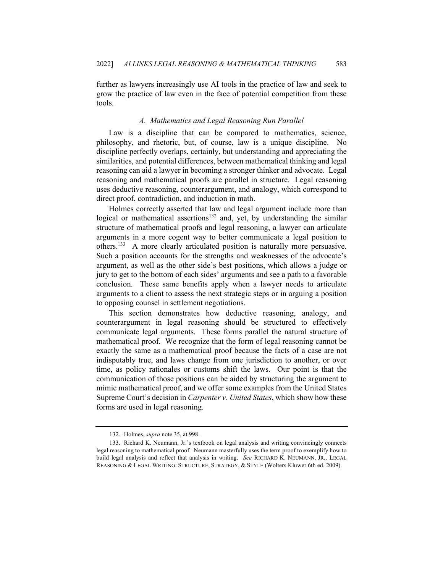further as lawyers increasingly use AI tools in the practice of law and seek to grow the practice of law even in the face of potential competition from these tools.

## *A. Mathematics and Legal Reasoning Run Parallel*

Law is a discipline that can be compared to mathematics, science, philosophy, and rhetoric, but, of course, law is a unique discipline. No discipline perfectly overlaps, certainly, but understanding and appreciating the similarities, and potential differences, between mathematical thinking and legal reasoning can aid a lawyer in becoming a stronger thinker and advocate. Legal reasoning and mathematical proofs are parallel in structure. Legal reasoning uses deductive reasoning, counterargument, and analogy, which correspond to direct proof, contradiction, and induction in math.

Holmes correctly asserted that law and legal argument include more than logical or mathematical assertions<sup>132</sup> and, yet, by understanding the similar structure of mathematical proofs and legal reasoning, a lawyer can articulate arguments in a more cogent way to better communicate a legal position to others.<sup>133</sup> A more clearly articulated position is naturally more persuasive. Such a position accounts for the strengths and weaknesses of the advocate's argument, as well as the other side's best positions, which allows a judge or jury to get to the bottom of each sides' arguments and see a path to a favorable conclusion. These same benefits apply when a lawyer needs to articulate arguments to a client to assess the next strategic steps or in arguing a position to opposing counsel in settlement negotiations.

This section demonstrates how deductive reasoning, analogy, and counterargument in legal reasoning should be structured to effectively communicate legal arguments. These forms parallel the natural structure of mathematical proof. We recognize that the form of legal reasoning cannot be exactly the same as a mathematical proof because the facts of a case are not indisputably true, and laws change from one jurisdiction to another, or over time, as policy rationales or customs shift the laws. Our point is that the communication of those positions can be aided by structuring the argument to mimic mathematical proof, and we offer some examples from the United States Supreme Court's decision in *Carpenter v. United States*, which show how these forms are used in legal reasoning.

<sup>132.</sup> Holmes, *supra* note 35, at 998.

<sup>133.</sup> Richard K. Neumann, Jr.'s textbook on legal analysis and writing convincingly connects legal reasoning to mathematical proof. Neumann masterfully uses the term proof to exemplify how to build legal analysis and reflect that analysis in writing. *See* RICHARD K. NEUMANN, JR., LEGAL REASONING & LEGAL WRITING: STRUCTURE, STRATEGY, & STYLE (Wolters Kluwer 6th ed. 2009).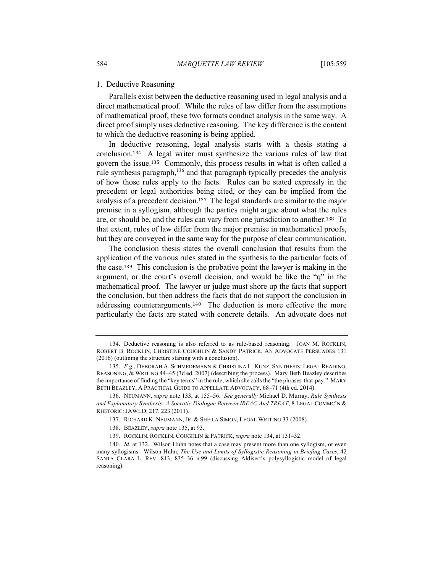## 1. Deductive Reasoning

Parallels exist between the deductive reasoning used in legal analysis and a direct mathematical proof. While the rules of law differ from the assumptions of mathematical proof, these two formats conduct analysis in the same way. A direct proof simply uses deductive reasoning. The key difference is the content to which the deductive reasoning is being applied.

In deductive reasoning, legal analysis starts with a thesis stating a conclusion.134 A legal writer must synthesize the various rules of law that govern the issue.<sup>135</sup> Commonly, this process results in what is often called a rule synthesis paragraph,<sup>136</sup> and that paragraph typically precedes the analysis of how those rules apply to the facts. Rules can be stated expressly in the precedent or legal authorities being cited, or they can be implied from the analysis of a precedent decision.137 The legal standards are similar to the major premise in a syllogism, although the parties might argue about what the rules are, or should be, and the rules can vary from one jurisdiction to another.138 To that extent, rules of law differ from the major premise in mathematical proofs, but they are conveyed in the same way for the purpose of clear communication.

The conclusion thesis states the overall conclusion that results from the application of the various rules stated in the synthesis to the particular facts of the case.139 This conclusion is the probative point the lawyer is making in the argument, or the court's overall decision, and would be like the "q" in the mathematical proof. The lawyer or judge must shore up the facts that support the conclusion, but then address the facts that do not support the conclusion in addressing counterarguments.140 The deduction is more effective the more particularly the facts are stated with concrete details. An advocate does not

<sup>134.</sup> Deductive reasoning is also referred to as rule-based reasoning. JOAN M. ROCKLIN, ROBERT B. ROCKLIN, CHRISTINE COUGHLIN & SANDY PATRICK, AN ADVOCATE PERSUADES 131 (2016) (outlining the structure starting with a conclusion).

<sup>135.</sup> *E.g.*, DEBORAH A. SCHMEDEMANN & CHRISTINA L. KUNZ, SYNTHESIS: LEGAL READING, REASONING, & WRITING 44–45 (3d ed. 2007) (describing the process). Mary Beth Beazley describes the importance of finding the "key terms" in the rule, which she calls the "the phrases-that-pay." MARY BETH BEAZLEY, A PRACTICAL GUIDE TO APPELLATE ADVOCACY, 68–71 (4th ed. 2014).

<sup>136.</sup> NEUMANN, *supra* note 133, at 155–56. *See generally* Michael D. Murray, *Rule Synthesis and Explanatory Synthesis: A Socratic Dialogue Between IREAC And TREAT*, 8 LEGAL COMMC'N & RHETORIC: JAWLD, 217, 223 (2011).

<sup>137.</sup> RICHARD K. NEUMANN, JR. & SHEILA SIMON, LEGAL WRITING 33 (2008).

<sup>138.</sup> BEAZLEY, *supra* note 135, at 93.

<sup>139.</sup> ROCKLIN, ROCKLIN, COUGHLIN & PATRICK, *supra* note 134, at 131–32.

<sup>140.</sup> *Id.* at 132. Wilson Huhn notes that a case may present more than one syllogism, or even many syllogisms. Wilson Huhn, *The Use and Limits of Syllogistic Reasoning in Briefing Cases*, 42 SANTA CLARA L. REV. 813, 835–36 n.99 (discussing Aldisert's polysyllogistic model of legal reasoning).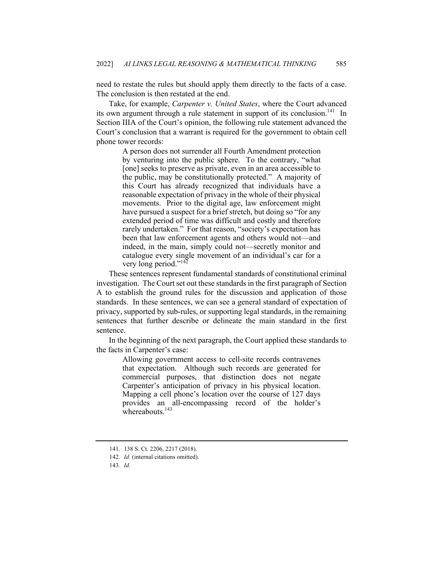need to restate the rules but should apply them directly to the facts of a case. The conclusion is then restated at the end.

Take, for example, *Carpenter v. United States*, where the Court advanced its own argument through a rule statement in support of its conclusion.<sup>141</sup> In Section IIIA of the Court's opinion, the following rule statement advanced the Court's conclusion that a warrant is required for the government to obtain cell phone tower records:

> A person does not surrender all Fourth Amendment protection by venturing into the public sphere. To the contrary, "what [one] seeks to preserve as private, even in an area accessible to the public, may be constitutionally protected." A majority of this Court has already recognized that individuals have a reasonable expectation of privacy in the whole of their physical movements. Prior to the digital age, law enforcement might have pursued a suspect for a brief stretch, but doing so "for any extended period of time was difficult and costly and therefore rarely undertaken." For that reason, "society's expectation has been that law enforcement agents and others would not—and indeed, in the main, simply could not—secretly monitor and catalogue every single movement of an individual's car for a very long period."<sup>142</sup>

These sentences represent fundamental standards of constitutional criminal investigation. The Court set out these standards in the first paragraph of Section A to establish the ground rules for the discussion and application of those standards. In these sentences, we can see a general standard of expectation of privacy, supported by sub-rules, or supporting legal standards, in the remaining sentences that further describe or delineate the main standard in the first sentence.

In the beginning of the next paragraph, the Court applied these standards to the facts in Carpenter's case:

> Allowing government access to cell-site records contravenes that expectation. Although such records are generated for commercial purposes, that distinction does not negate Carpenter's anticipation of privacy in his physical location. Mapping a cell phone's location over the course of 127 days provides an all-encompassing record of the holder's whereabouts. $143$

<sup>141.</sup> 138 S. Ct. 2206, 2217 (2018).

<sup>142.</sup> *Id.* (internal citations omitted).

<sup>143.</sup> *Id.*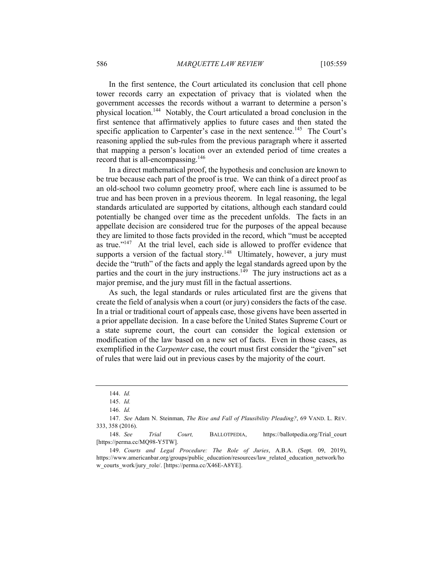In the first sentence, the Court articulated its conclusion that cell phone tower records carry an expectation of privacy that is violated when the government accesses the records without a warrant to determine a person's physical location.144 Notably, the Court articulated a broad conclusion in the first sentence that affirmatively applies to future cases and then stated the specific application to Carpenter's case in the next sentence.<sup>145</sup> The Court's reasoning applied the sub-rules from the previous paragraph where it asserted that mapping a person's location over an extended period of time creates a record that is all-encompassing.<sup>146</sup>

In a direct mathematical proof, the hypothesis and conclusion are known to be true because each part of the proof is true. We can think of a direct proof as an old-school two column geometry proof, where each line is assumed to be true and has been proven in a previous theorem. In legal reasoning, the legal standards articulated are supported by citations, although each standard could potentially be changed over time as the precedent unfolds. The facts in an appellate decision are considered true for the purposes of the appeal because they are limited to those facts provided in the record, which "must be accepted as true."<sup>147</sup> At the trial level, each side is allowed to proffer evidence that supports a version of the factual story.<sup>148</sup> Ultimately, however, a jury must decide the "truth" of the facts and apply the legal standards agreed upon by the parties and the court in the jury instructions.<sup>149</sup> The jury instructions act as a major premise, and the jury must fill in the factual assertions.

As such, the legal standards or rules articulated first are the givens that create the field of analysis when a court (or jury) considers the facts of the case. In a trial or traditional court of appeals case, those givens have been asserted in a prior appellate decision. In a case before the United States Supreme Court or a state supreme court, the court can consider the logical extension or modification of the law based on a new set of facts. Even in those cases, as exemplified in the *Carpenter* case, the court must first consider the "given" set of rules that were laid out in previous cases by the majority of the court.

<sup>144.</sup> *Id.*

<sup>145.</sup> *Id.*

<sup>146.</sup> *Id.*

<sup>147.</sup> *See* Adam N. Steinman, *The Rise and Fall of Plausibility Pleading?*, 69 VAND. L. REV. 333, 358 (2016).

<sup>148.</sup> *See Trial Court,* BALLOTPEDIA, https://ballotpedia.org/Trial\_court [https://perma.cc/MQ98-Y5TW].

<sup>149.</sup> *Courts and Legal Procedure: The Role of Juries*, A.B.A. (Sept. 09, 2019), https://www.americanbar.org/groups/public\_education/resources/law\_related\_education\_network/ho w\_courts\_work/jury\_role/. [https://perma.cc/X46E-A8YE].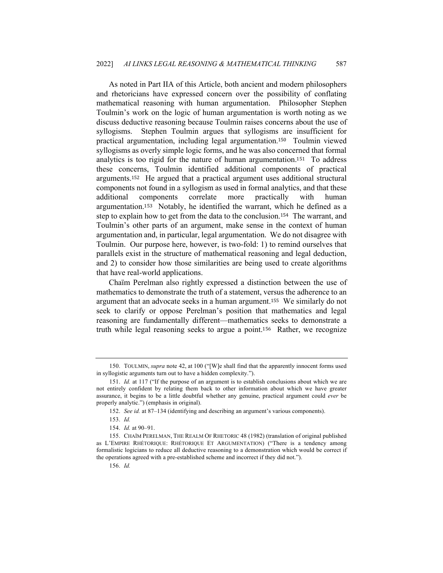As noted in Part IIA of this Article, both ancient and modern philosophers and rhetoricians have expressed concern over the possibility of conflating mathematical reasoning with human argumentation. Philosopher Stephen Toulmin's work on the logic of human argumentation is worth noting as we discuss deductive reasoning because Toulmin raises concerns about the use of syllogisms. Stephen Toulmin argues that syllogisms are insufficient for practical argumentation, including legal argumentation.150 Toulmin viewed syllogisms as overly simple logic forms, and he was also concerned that formal analytics is too rigid for the nature of human argumentation.151 To address these concerns, Toulmin identified additional components of practical arguments.152 He argued that a practical argument uses additional structural components not found in a syllogism as used in formal analytics, and that these additional components correlate more practically with human argumentation.<sup>153</sup> Notably, he identified the warrant, which he defined as a step to explain how to get from the data to the conclusion.<sup>154</sup> The warrant, and Toulmin's other parts of an argument, make sense in the context of human argumentation and, in particular, legal argumentation. We do not disagree with Toulmin. Our purpose here, however, is two-fold: 1) to remind ourselves that parallels exist in the structure of mathematical reasoning and legal deduction, and 2) to consider how those similarities are being used to create algorithms that have real-world applications.

Chaïm Perelman also rightly expressed a distinction between the use of mathematics to demonstrate the truth of a statement, versus the adherence to an argument that an advocate seeks in a human argument.<sup>155</sup> We similarly do not seek to clarify or oppose Perelman's position that mathematics and legal reasoning are fundamentally different—mathematics seeks to demonstrate a truth while legal reasoning seeks to argue a point.<sup>156</sup> Rather, we recognize

<sup>150.</sup> TOULMIN, *supra* note 42, at 100 ("[W]e shall find that the apparently innocent forms used in syllogistic arguments turn out to have a hidden complexity.").

<sup>151.</sup> *Id.* at 117 ("If the purpose of an argument is to establish conclusions about which we are not entirely confident by relating them back to other information about which we have greater assurance, it begins to be a little doubtful whether any genuine, practical argument could *ever* be properly analytic.") (emphasis in original).

<sup>152.</sup> *See id.* at 87–134 (identifying and describing an argument's various components).

<sup>153.</sup> *Id.*

<sup>154.</sup> *Id.* at 90–91.

<sup>155.</sup> CHAÏM PERELMAN, THE REALM OF RHETORIC 48 (1982) (translation of original published as L'EMPIRE RHÉTORIQUE: RHÉTORIQUE ET ARGUMENTATION) ("There is a tendency among formalistic logicians to reduce all deductive reasoning to a demonstration which would be correct if the operations agreed with a pre-established scheme and incorrect if they did not.").

<sup>156.</sup> *Id.*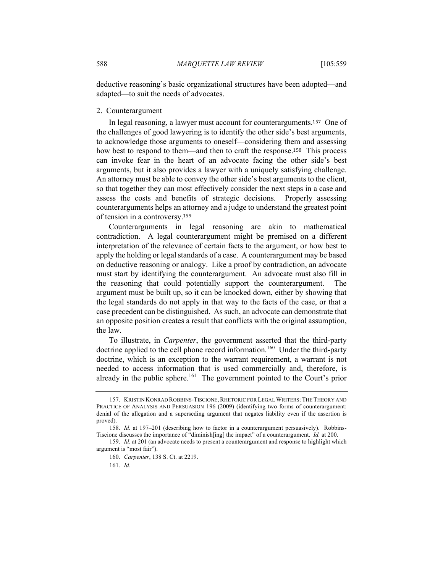deductive reasoning's basic organizational structures have been adopted—and adapted—to suit the needs of advocates.

#### 2. Counterargument

In legal reasoning, a lawyer must account for counterarguments.<sup>157</sup> One of the challenges of good lawyering is to identify the other side's best arguments, to acknowledge those arguments to oneself—considering them and assessing how best to respond to them—and then to craft the response.<sup>158</sup> This process can invoke fear in the heart of an advocate facing the other side's best arguments, but it also provides a lawyer with a uniquely satisfying challenge. An attorney must be able to convey the other side's best arguments to the client, so that together they can most effectively consider the next steps in a case and assess the costs and benefits of strategic decisions. Properly assessing counterarguments helps an attorney and a judge to understand the greatest point of tension in a controversy.<sup>159</sup>

Counterarguments in legal reasoning are akin to mathematical contradiction. A legal counterargument might be premised on a different interpretation of the relevance of certain facts to the argument, or how best to apply the holding or legal standards of a case. A counterargument may be based on deductive reasoning or analogy. Like a proof by contradiction, an advocate must start by identifying the counterargument. An advocate must also fill in the reasoning that could potentially support the counterargument. The argument must be built up, so it can be knocked down, either by showing that the legal standards do not apply in that way to the facts of the case, or that a case precedent can be distinguished. As such, an advocate can demonstrate that an opposite position creates a result that conflicts with the original assumption, the law.

To illustrate, in *Carpenter*, the government asserted that the third-party doctrine applied to the cell phone record information.<sup>160</sup> Under the third-party doctrine, which is an exception to the warrant requirement, a warrant is not needed to access information that is used commercially and, therefore, is already in the public sphere.<sup>161</sup> The government pointed to the Court's prior

<sup>157.</sup> KRISTIN KONRAD ROBBINS-TISCIONE, RHETORIC FOR LEGAL WRITERS: THE THEORY AND PRACTICE OF ANALYSIS AND PERSUASION 196 (2009) (identifying two forms of counterargument: denial of the allegation and a superseding argument that negates liability even if the assertion is proved).

<sup>158.</sup> *Id.* at 197–201 (describing how to factor in a counterargument persuasively). Robbins-Tiscione discusses the importance of "diminish[ing] the impact" of a counterargument. *Id.* at 200.

<sup>159.</sup> *Id.* at 201 (an advocate needs to present a counterargument and response to highlight which argument is "most fair").

<sup>160.</sup> *Carpenter*, 138 S. Ct. at 2219.

<sup>161.</sup> *Id.*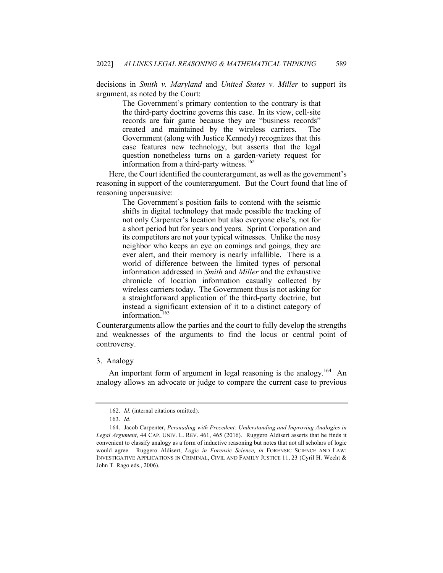decisions in *Smith v. Maryland* and *United States v. Miller* to support its argument, as noted by the Court:

> The Government's primary contention to the contrary is that the third-party doctrine governs this case. In its view, cell-site records are fair game because they are "business records" created and maintained by the wireless carriers. The Government (along with Justice Kennedy) recognizes that this case features new technology, but asserts that the legal question nonetheless turns on a garden-variety request for information from a third-party witness.<sup>162</sup>

Here, the Court identified the counterargument, as well as the government's reasoning in support of the counterargument. But the Court found that line of reasoning unpersuasive:

> The Government's position fails to contend with the seismic shifts in digital technology that made possible the tracking of not only Carpenter's location but also everyone else's, not for a short period but for years and years. Sprint Corporation and its competitors are not your typical witnesses. Unlike the nosy neighbor who keeps an eye on comings and goings, they are ever alert, and their memory is nearly infallible. There is a world of difference between the limited types of personal information addressed in *Smith* and *Miller* and the exhaustive chronicle of location information casually collected by wireless carriers today. The Government thus is not asking for a straightforward application of the third-party doctrine, but instead a significant extension of it to a distinct category of information.<sup>163</sup>

Counterarguments allow the parties and the court to fully develop the strengths and weaknesses of the arguments to find the locus or central point of controversy.

#### 3. Analogy

An important form of argument in legal reasoning is the analogy.<sup>164</sup> An analogy allows an advocate or judge to compare the current case to previous

<sup>162.</sup> *Id.* (internal citations omitted).

<sup>163.</sup> *Id.*

<sup>164.</sup> Jacob Carpenter, *Persuading with Precedent: Understanding and Improving Analogies in Legal Argument*, 44 CAP. UNIV. L. REV. 461, 465 (2016). Ruggero Aldisert asserts that he finds it convenient to classify analogy as a form of inductive reasoning but notes that not all scholars of logic would agree. Ruggero Aldisert, *Logic in Forensic Science, in* FORENSIC SCIENCE AND LAW: INVESTIGATIVE APPLICATIONS IN CRIMINAL, CIVIL AND FAMILY JUSTICE 11, 23 (Cyril H. Wecht & John T. Rago eds., 2006).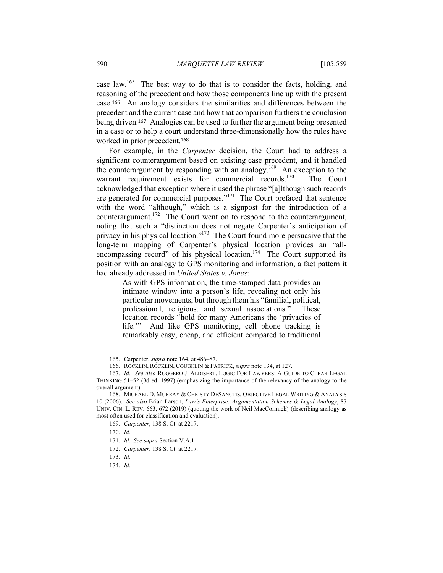case law.<sup>165</sup> The best way to do that is to consider the facts, holding, and reasoning of the precedent and how those components line up with the present case.<sup>166</sup> An analogy considers the similarities and differences between the precedent and the current case and how that comparison furthers the conclusion being driven.<sup>167</sup> Analogies can be used to further the argument being presented in a case or to help a court understand three-dimensionally how the rules have worked in prior precedent.<sup>168</sup>

For example, in the *Carpenter* decision, the Court had to address a significant counterargument based on existing case precedent, and it handled the counterargument by responding with an analogy.<sup>169</sup> An exception to the warrant requirement exists for commercial records.<sup>170</sup> The Court acknowledged that exception where it used the phrase "[a]lthough such records are generated for commercial purposes."<sup>171</sup> The Court prefaced that sentence with the word "although," which is a signpost for the introduction of a counterargument.<sup>172</sup> The Court went on to respond to the counterargument, noting that such a "distinction does not negate Carpenter's anticipation of privacy in his physical location."<sup>173</sup> The Court found more persuasive that the long-term mapping of Carpenter's physical location provides an "allencompassing record" of his physical location.<sup>174</sup> The Court supported its position with an analogy to GPS monitoring and information, a fact pattern it had already addressed in *United States v. Jones*:

> As with GPS information, the time-stamped data provides an intimate window into a person's life, revealing not only his particular movements, but through them his "familial, political, professional, religious, and sexual associations." These location records "hold for many Americans the 'privacies of life.'" And like GPS monitoring, cell phone tracking is remarkably easy, cheap, and efficient compared to traditional

<sup>165.</sup> Carpenter, *supra* note 164, at 486–87.

<sup>166.</sup> ROCKLIN, ROCKLIN, COUGHLIN & PATRICK, *supra* note 134, at 127.

<sup>167.</sup> *Id. See also* RUGGERO J. ALDISERT, LOGIC FOR LAWYERS: A GUIDE TO CLEAR LEGAL THINKING 51–52 (3d ed. 1997) (emphasizing the importance of the relevancy of the analogy to the overall argument).

<sup>168.</sup> MICHAEL D. MURRAY & CHRISTY DESANCTIS, OBJECTIVE LEGAL WRITING & ANALYSIS 10 (2006). *See also* Brian Larson, *Law's Enterprise: Argumentation Schemes & Legal Analogy*, 87 UNIV. CIN. L. REV. 663, 672 (2019) (quoting the work of Neil MacCormick) (describing analogy as most often used for classification and evaluation).

<sup>169.</sup> *Carpenter*, 138 S. Ct. at 2217.

<sup>170.</sup> *Id.*

<sup>171.</sup> *Id. See supra* Section V.A.1.

<sup>172.</sup> *Carpenter*, 138 S. Ct. at 2217*.*

<sup>173.</sup> *Id.*

<sup>174.</sup> *Id.*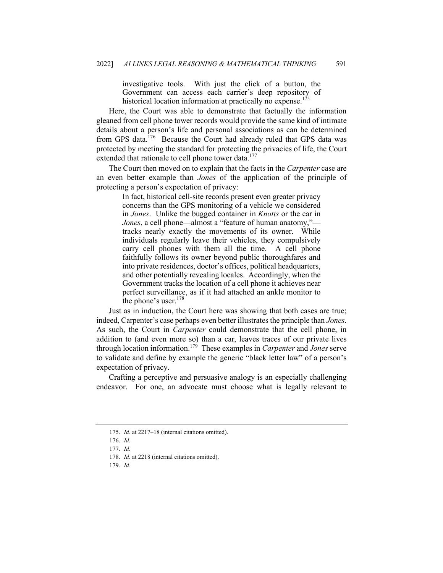investigative tools. With just the click of a button, the Government can access each carrier's deep repository of historical location information at practically no expense.<sup>175</sup>

Here, the Court was able to demonstrate that factually the information gleaned from cell phone tower records would provide the same kind of intimate details about a person's life and personal associations as can be determined from GPS data.<sup>176</sup> Because the Court had already ruled that GPS data was protected by meeting the standard for protecting the privacies of life, the Court extended that rationale to cell phone tower data.<sup>177</sup>

The Court then moved on to explain that the facts in the *Carpenter* case are an even better example than *Jones* of the application of the principle of protecting a person's expectation of privacy:

> In fact, historical cell-site records present even greater privacy concerns than the GPS monitoring of a vehicle we considered in *Jones*. Unlike the bugged container in *Knotts* or the car in *Jones*, a cell phone—almost a "feature of human anatomy," tracks nearly exactly the movements of its owner. While individuals regularly leave their vehicles, they compulsively carry cell phones with them all the time. A cell phone faithfully follows its owner beyond public thoroughfares and into private residences, doctor's offices, political headquarters, and other potentially revealing locales. Accordingly, when the Government tracks the location of a cell phone it achieves near perfect surveillance, as if it had attached an ankle monitor to the phone's user.<sup>178</sup>

Just as in induction, the Court here was showing that both cases are true; indeed, Carpenter's case perhaps even better illustrates the principle than *Jones*. As such, the Court in *Carpenter* could demonstrate that the cell phone, in addition to (and even more so) than a car, leaves traces of our private lives through location information.<sup>179</sup> These examples in *Carpenter* and *Jones* serve to validate and define by example the generic "black letter law" of a person's expectation of privacy.

Crafting a perceptive and persuasive analogy is an especially challenging endeavor. For one, an advocate must choose what is legally relevant to

<sup>175.</sup> *Id.* at 2217–18 (internal citations omitted).

<sup>176.</sup> *Id.*

<sup>177.</sup> *Id.*

<sup>178.</sup> *Id.* at 2218 (internal citations omitted).

<sup>179.</sup> *Id.*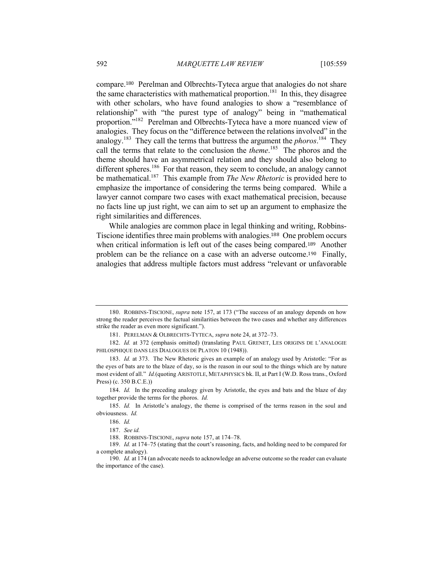compare.<sup>180</sup> Perelman and Olbrechts-Tyteca argue that analogies do not share the same characteristics with mathematical proportion.<sup>181</sup> In this, they disagree with other scholars, who have found analogies to show a "resemblance of relationship" with "the purest type of analogy" being in "mathematical proportion."182 Perelman and Olbrechts-Tyteca have a more nuanced view of analogies. They focus on the "difference between the relations involved" in the analogy.<sup>183</sup> They call the terms that buttress the argument the *phoros*. <sup>184</sup> They call the terms that relate to the conclusion the *theme*. <sup>185</sup> The phoros and the theme should have an asymmetrical relation and they should also belong to different spheres.<sup>186</sup> For that reason, they seem to conclude, an analogy cannot be mathematical.187 This example from *The New Rhetoric* is provided here to emphasize the importance of considering the terms being compared. While a lawyer cannot compare two cases with exact mathematical precision, because no facts line up just right, we can aim to set up an argument to emphasize the right similarities and differences.

While analogies are common place in legal thinking and writing, Robbins-Tiscione identifies three main problems with analogies.<sup>188</sup> One problem occurs when critical information is left out of the cases being compared.<sup>189</sup> Another problem can be the reliance on a case with an adverse outcome.<sup>190</sup> Finally, analogies that address multiple factors must address "relevant or unfavorable

<sup>180.</sup> ROBBINS-TISCIONE, *supra* note 157, at 173 ("The success of an analogy depends on how strong the reader perceives the factual similarities between the two cases and whether any differences strike the reader as even more significant.").

<sup>181.</sup> PERELMAN & OLBRECHTS-TYTECA, *supra* note 24, at 372–73.

<sup>182.</sup> *Id.* at 372 (emphasis omitted) (translating PAUL GRENET, LES ORIGINS DE L'ANALOGIE PHILOSPHIQUE DANS LES DIALOGUES DE PLATON 10 (1948)).

<sup>183.</sup> *Id.* at 373. The New Rhetoric gives an example of an analogy used by Aristotle: "For as the eyes of bats are to the blaze of day, so is the reason in our soul to the things which are by nature most evident of all." *Id.*(quoting ARISTOTLE, METAPHYSICS bk. II, at Part I (W.D. Ross trans., Oxford Press) (c. 350 B.C.E.))

<sup>184.</sup> *Id.* In the preceding analogy given by Aristotle, the eyes and bats and the blaze of day together provide the terms for the phoros. *Id.*

<sup>185.</sup> *Id.* In Aristotle's analogy, the theme is comprised of the terms reason in the soul and obviousness. *Id.*

<sup>186.</sup> *Id.*

<sup>187.</sup> *See id.*

<sup>188.</sup> ROBBINS-TISCIONE, *supra* note 157, at 174–78.

<sup>189.</sup> *Id.* at 174–75 (stating that the court's reasoning, facts, and holding need to be compared for a complete analogy).

<sup>190.</sup> *Id.* at 174 (an advocate needs to acknowledge an adverse outcome so the reader can evaluate the importance of the case).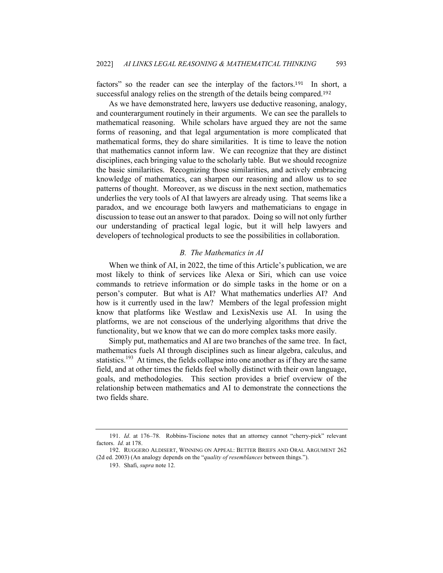factors" so the reader can see the interplay of the factors.<sup>191</sup> In short, a successful analogy relies on the strength of the details being compared.<sup>192</sup>

As we have demonstrated here, lawyers use deductive reasoning, analogy, and counterargument routinely in their arguments. We can see the parallels to mathematical reasoning. While scholars have argued they are not the same forms of reasoning, and that legal argumentation is more complicated that mathematical forms, they do share similarities. It is time to leave the notion that mathematics cannot inform law. We can recognize that they are distinct disciplines, each bringing value to the scholarly table. But we should recognize the basic similarities. Recognizing those similarities, and actively embracing knowledge of mathematics, can sharpen our reasoning and allow us to see patterns of thought. Moreover, as we discuss in the next section, mathematics underlies the very tools of AI that lawyers are already using. That seems like a paradox, and we encourage both lawyers and mathematicians to engage in discussion to tease out an answer to that paradox. Doing so will not only further our understanding of practical legal logic, but it will help lawyers and developers of technological products to see the possibilities in collaboration.

## *B. The Mathematics in AI*

When we think of AI, in 2022, the time of this Article's publication, we are most likely to think of services like Alexa or Siri, which can use voice commands to retrieve information or do simple tasks in the home or on a person's computer. But what is AI? What mathematics underlies AI? And how is it currently used in the law? Members of the legal profession might know that platforms like Westlaw and LexisNexis use AI. In using the platforms, we are not conscious of the underlying algorithms that drive the functionality, but we know that we can do more complex tasks more easily.

Simply put, mathematics and AI are two branches of the same tree. In fact, mathematics fuels AI through disciplines such as linear algebra, calculus, and statistics.<sup>193</sup> At times, the fields collapse into one another as if they are the same field, and at other times the fields feel wholly distinct with their own language, goals, and methodologies. This section provides a brief overview of the relationship between mathematics and AI to demonstrate the connections the two fields share.

<sup>191.</sup> *Id*. at 176–78. Robbins-Tiscione notes that an attorney cannot "cherry-pick" relevant factors. *Id.* at 178.

<sup>192.</sup> RUGGERO ALDISERT, WINNING ON APPEAL: BETTER BRIEFS AND ORAL ARGUMENT 262 (2d ed. 2003) (An analogy depends on the "*quality of resemblances* between things.").

<sup>193.</sup> Shafi, *supra* note 12.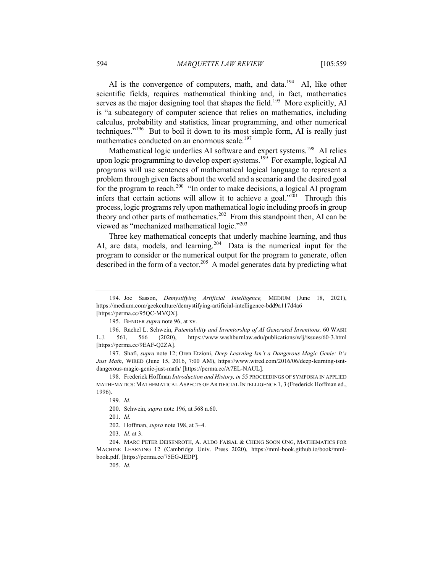AI is the convergence of computers, math, and data.<sup>194</sup> AI, like other scientific fields, requires mathematical thinking and, in fact, mathematics serves as the major designing tool that shapes the field.<sup>195</sup> More explicitly, AI is "a subcategory of computer science that relies on mathematics, including calculus, probability and statistics, linear programming, and other numerical techniques."<sup>196</sup> But to boil it down to its most simple form, AI is really just mathematics conducted on an enormous scale.<sup>197</sup>

Mathematical logic underlies AI software and expert systems.<sup>198</sup> AI relies upon logic programming to develop expert systems.<sup>199</sup> For example, logical AI programs will use sentences of mathematical logical language to represent a problem through given facts about the world and a scenario and the desired goal for the program to reach.<sup>200</sup> "In order to make decisions, a logical AI program infers that certain actions will allow it to achieve a goal."<sup>201</sup> Through this process, logic programs rely upon mathematical logic including proofs in group theory and other parts of mathematics.<sup>202</sup> From this standpoint then, AI can be viewed as "mechanized mathematical logic."203

Three key mathematical concepts that underly machine learning, and thus AI, are data, models, and learning.<sup>204</sup> Data is the numerical input for the program to consider or the numerical output for the program to generate, often described in the form of a vector.<sup>205</sup> A model generates data by predicting what

205. *Id*.

<sup>194.</sup> Joe Sasson, *Demystifying Artificial Intelligence,* MEDIUM (June 18, 2021), https://medium.com/geekculture/demystifying-artificial-intelligence-bdd9a117d4a6 [https://perma.cc/95QC-MVQX].

<sup>195.</sup> BENDER *supra* note 96, at xv.

<sup>196.</sup> Rachel L. Schwein, *Patentability and Inventorship of AI Generated Inventions,* 60 WASH L.J. 561, 566 (2020), https://www.washburnlaw.edu/publications/wlj/issues/60-3.html [https://perma.cc/9EAF-Q2ZA].

<sup>197.</sup> Shafi, *supra* note 12; Oren Etzioni, *Deep Learning Isn't a Dangerous Magic Genie: It's Just Math*, WIRED (June 15, 2016, 7:00 AM), https://www.wired.com/2016/06/deep-learning-isntdangerous-magic-genie-just-math/ [https://perma.cc/A7EL-NAUL].

<sup>198.</sup> Frederick Hoffman *Introduction and History, in* 55 PROCEEDINGS OF SYMPOSIA IN APPLIED MATHEMATICS: MATHEMATICAL ASPECTS OF ARTIFICIAL INTELLIGENCE 1, 3 (Frederick Hoffman ed., 1996).

<sup>199.</sup> *Id.*

<sup>200.</sup> Schwein, *supra* note 196, at 568 n.60.

<sup>201.</sup> *Id.*

<sup>202.</sup> Hoffman, *supra* note 198, at 3–4.

<sup>203.</sup> *Id.* at 3.

<sup>204.</sup> MARC PETER DEISENROTH, A. ALDO FAISAL & CHENG SOON ONG, MATHEMATICS FOR MACHINE LEARNING 12 (Cambridge Univ. Press 2020), https://mml-book.github.io/book/mmlbook.pdf. [https://perma.cc/75EG-JEDP].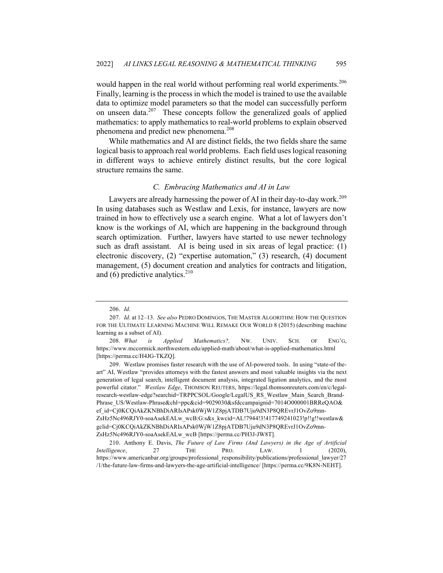would happen in the real world without performing real world experiments.<sup>206</sup> Finally, learning is the process in which the model is trained to use the available data to optimize model parameters so that the model can successfully perform on unseen data.<sup>207</sup> These concepts follow the generalized goals of applied mathematics: to apply mathematics to real-world problems to explain observed phenomena and predict new phenomena.<sup>208</sup>

While mathematics and AI are distinct fields, the two fields share the same logical basis to approach real world problems. Each field uses logical reasoning in different ways to achieve entirely distinct results, but the core logical structure remains the same.

## *C. Embracing Mathematics and AI in Law*

Lawyers are already harnessing the power of AI in their day-to-day work.<sup>209</sup> In using databases such as Westlaw and Lexis, for instance, lawyers are now trained in how to effectively use a search engine. What a lot of lawyers don't know is the workings of AI, which are happening in the background through search optimization. Further, lawyers have started to use newer technology such as draft assistant. AI is being used in six areas of legal practice: (1) electronic discovery, (2) "expertise automation," (3) research, (4) document management, (5) document creation and analytics for contracts and litigation, and  $(6)$  predictive analytics.<sup>210</sup>

<sup>206.</sup> *Id*.

<sup>207.</sup> *Id*. at 12–13. *See also* PEDRO DOMINGOS, THE MASTER ALGORITHM: HOW THE QUESTION FOR THE ULTIMATE LEARNING MACHINE WILL REMAKE OUR WORLD 8 (2015) (describing machine learning as a subset of AI).

<sup>208.</sup> *What is Applied Mathematics?,* NW. UNIV. SCH. OF ENG'G, https://www.mccormick.northwestern.edu/applied-math/about/what-is-applied-mathematics.html [https://perma.cc/H4JG-TKZQ].

<sup>209.</sup> Westlaw promises faster research with the use of AI-powered tools. In using "state-of theart" AI, Westlaw "provides attorneys with the fastest answers and most valuable insights via the next generation of legal search, intelligent document analysis, integrated ligation analytics, and the most powerful citator." *Westlaw Edge*, THOMSON REUTERS, https://legal.thomsonreuters.com/en/c/legalresearch-westlaw-edge?searchid=TRPPCSOL/Google/LegalUS\_RS\_Westlaw\_Main\_Search\_Brand-Phrase\_US/Westlaw-Phrase&chl=ppc&cid=9029030&sfdccampaignid=7014O000001BRReQAO& ef\_id=Cj0KCQiAkZKNBhDiARIsAPsk0WjW1Z8pjATDB7Uju9dN3P8QREvrJ1OvZo9mn-ZsHz5Nc496RJY0-soaAsekEALw\_wcB:G:s&s\_kwcid=AL!7944!3!417749241023!p!!g!!westlaw& gclid=Cj0KCQiAkZKNBhDiARIsAPsk0WjW1Z8pjATDB7Uju9dN3P8QREvrJ1OvZo9mn-ZsHz5Nc496RJY0-soaAsekEALw\_wcB [https://perma.cc/PH3J-JW8T].

<sup>210.</sup> Anthony E. Davis, *The Future of Law Firms (And Lawyers) in the Age of Artificial Intelligence*, 27 THE PRO. LAW. 1 (2020), https://www.americanbar.org/groups/professional\_responsibility/publications/professional\_lawyer/27 /1/the-future-law-firms-and-lawyers-the-age-artificial-intelligence/ [https://perma.cc/9K8N-NEHT].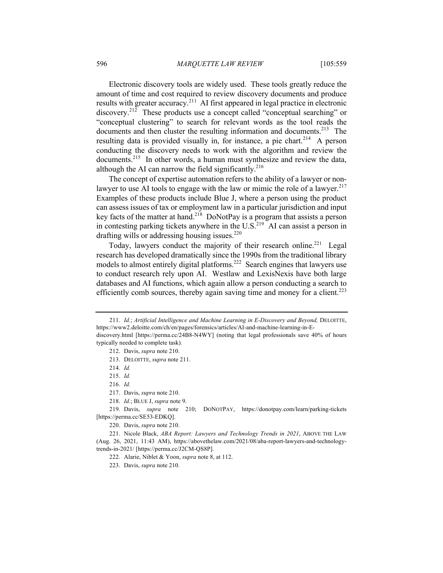Electronic discovery tools are widely used. These tools greatly reduce the amount of time and cost required to review discovery documents and produce results with greater accuracy.<sup>211</sup> AI first appeared in legal practice in electronic discovery.<sup>212</sup> These products use a concept called "conceptual searching" or "conceptual clustering" to search for relevant words as the tool reads the documents and then cluster the resulting information and documents.<sup>213</sup> The resulting data is provided visually in, for instance, a pie chart.<sup>214</sup> A person conducting the discovery needs to work with the algorithm and review the documents.<sup>215</sup> In other words, a human must synthesize and review the data, although the AI can narrow the field significantly.<sup>216</sup>

The concept of expertise automation refers to the ability of a lawyer or nonlawyer to use AI tools to engage with the law or mimic the role of a lawyer.<sup>217</sup> Examples of these products include Blue J, where a person using the product can assess issues of tax or employment law in a particular jurisdiction and input key facts of the matter at hand.<sup>218</sup> DoNotPay is a program that assists a person in contesting parking tickets anywhere in the U.S.<sup>219</sup> AI can assist a person in drafting wills or addressing housing issues. $220$ 

Today, lawyers conduct the majority of their research online.<sup>221</sup> Legal research has developed dramatically since the 1990s from the traditional library models to almost entirely digital platforms.<sup>222</sup> Search engines that lawyers use to conduct research rely upon AI. Westlaw and LexisNexis have both large databases and AI functions, which again allow a person conducting a search to efficiently comb sources, thereby again saving time and money for a client.<sup>223</sup>

220. Davis, *supra* note 210.

<sup>211.</sup> *Id.*; *Artificial Intelligence and Machine Learning in E-Discovery and Beyond,* DELOITTE, https://www2.deloitte.com/ch/en/pages/forensics/articles/AI-and-machine-learning-in-Ediscovery.html [https://perma.cc/24B8-N4WY] (noting that legal professionals save 40% of hours

typically needed to complete task). 212. Davis, *supra* note 210.

<sup>213.</sup> DELOITTE, *supra* note 211.

<sup>214.</sup> *Id.*

<sup>215.</sup> *Id.*

<sup>216.</sup> *Id.*

<sup>217.</sup> Davis, *supra* note 210.

<sup>218.</sup> *Id.*; BLUE J, *supra* note 9.

<sup>219.</sup> Davis, *supra* note 210; DONOTPAY, https://donotpay.com/learn/parking-tickets [https://perma.cc/SE53-EDKQ].

<sup>221.</sup> Nicole Black, *ABA Report: Lawyers and Technology Trends in 2021*, ABOVE THE LAW (Aug. 26, 2021, 11:43 AM), https://abovethelaw.com/2021/08/aba-report-lawyers-and-technologytrends-in-2021/ [https://perma.cc/J2CM-QS8P].

<sup>222.</sup> Alarie, Niblet & Yoon, *supra* note 8, at 112.

<sup>223.</sup> Davis, *supra* note 210.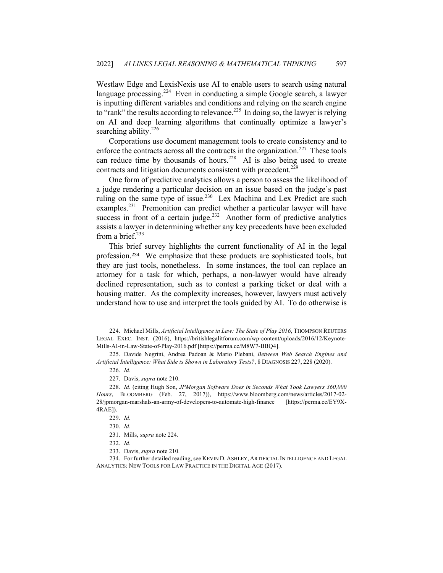Westlaw Edge and LexisNexis use AI to enable users to search using natural language processing.<sup>224</sup> Even in conducting a simple Google search, a lawyer is inputting different variables and conditions and relying on the search engine to "rank" the results according to relevance.<sup>225</sup> In doing so, the lawyer is relying on AI and deep learning algorithms that continually optimize a lawyer's searching ability.<sup>226</sup>

Corporations use document management tools to create consistency and to enforce the contracts across all the contracts in the organization.<sup>227</sup> These tools can reduce time by thousands of hours.<sup>228</sup> AI is also being used to create contracts and litigation documents consistent with precedent.<sup>229</sup>

One form of predictive analytics allows a person to assess the likelihood of a judge rendering a particular decision on an issue based on the judge's past ruling on the same type of issue.<sup>230</sup> Lex Machina and Lex Predict are such examples.<sup>231</sup> Premonition can predict whether a particular lawyer will have success in front of a certain judge.<sup>232</sup> Another form of predictive analytics assists a lawyer in determining whether any key precedents have been excluded from a brief. $^{233}$ 

This brief survey highlights the current functionality of AI in the legal profession.<sup>234</sup> We emphasize that these products are sophisticated tools, but they are just tools, nonetheless. In some instances, the tool can replace an attorney for a task for which, perhaps, a non-lawyer would have already declined representation, such as to contest a parking ticket or deal with a housing matter. As the complexity increases, however, lawyers must actively understand how to use and interpret the tools guided by AI. To do otherwise is

<sup>224.</sup> Michael Mills, *Artificial Intelligence in Law: The State of Play 2016*, THOMPSON REUTERS LEGAL EXEC. INST. (2016), https://britishlegalitforum.com/wp-content/uploads/2016/12/Keynote-Mills-AI-in-Law-State-of-Play-2016.pdf [https://perma.cc/M8W7-BBQ4].

<sup>225.</sup> Davide Negrini, Andrea Padoan & Mario Plebani, *Between Web Search Engines and Artificial Intelligence: What Side is Shown in Laboratory Tests?*, 8 DIAGNOSIS 227, 228 (2020).

<sup>226.</sup> *Id.*

<sup>227.</sup> Davis, *supra* note 210.

<sup>228.</sup> *Id.* (citing Hugh Son, *JPMorgan Software Does in Seconds What Took Lawyers 360,000 Hours*, BLOOMBERG (Feb. 27, 2017)), https://www.bloomberg.com/news/articles/2017-02- 28/jpmorgan-marshals-an-army-of-developers-to-automate-high-finance [https://perma.cc/EY9X-4RAE]).

<sup>229.</sup> *Id.*

<sup>230.</sup> *Id.*

<sup>231.</sup> Mills, *supra* note 224.

<sup>232.</sup> *Id.*

<sup>233.</sup> Davis, *supra* note 210.

<sup>234.</sup> For further detailed reading, see KEVIN D. ASHLEY, ARTIFICIAL INTELLIGENCE AND LEGAL ANALYTICS: NEW TOOLS FOR LAW PRACTICE IN THE DIGITAL AGE (2017).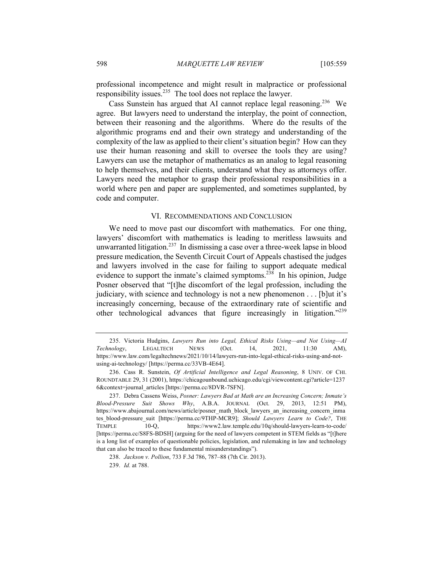professional incompetence and might result in malpractice or professional responsibility issues.<sup>235</sup> The tool does not replace the lawyer.

Cass Sunstein has argued that AI cannot replace legal reasoning.<sup>236</sup> We agree. But lawyers need to understand the interplay, the point of connection, between their reasoning and the algorithms. Where do the results of the algorithmic programs end and their own strategy and understanding of the complexity of the law as applied to their client's situation begin? How can they use their human reasoning and skill to oversee the tools they are using? Lawyers can use the metaphor of mathematics as an analog to legal reasoning to help themselves, and their clients, understand what they as attorneys offer. Lawyers need the metaphor to grasp their professional responsibilities in a world where pen and paper are supplemented, and sometimes supplanted, by code and computer.

#### VI. RECOMMENDATIONS AND CONCLUSION

We need to move past our discomfort with mathematics. For one thing, lawyers' discomfort with mathematics is leading to meritless lawsuits and unwarranted litigation.<sup>237</sup> In dismissing a case over a three-week lapse in blood pressure medication, the Seventh Circuit Court of Appeals chastised the judges and lawyers involved in the case for failing to support adequate medical evidence to support the inmate's claimed symptoms.<sup>238</sup> In his opinion, Judge Posner observed that "[t]he discomfort of the legal profession, including the judiciary, with science and technology is not a new phenomenon . . . [b]ut it's increasingly concerning, because of the extraordinary rate of scientific and other technological advances that figure increasingly in litigation."<sup>239</sup>

<sup>235.</sup> Victoria Hudgins, *Lawyers Run into Legal, Ethical Risks Using—and Not Using—AI Technology*, LEGALTECH NEWS (Oct. 14, 2021, 11:30 AM), https://www.law.com/legaltechnews/2021/10/14/lawyers-run-into-legal-ethical-risks-using-and-notusing-ai-technology/ [https://perma.cc/33VB-4E64].

<sup>236.</sup> Cass R. Sunstein, *Of Artificial Intelligence and Legal Reasoning*, 8 UNIV. OF CHI. ROUNDTABLE 29, 31 (2001), https://chicagounbound.uchicago.edu/cgi/viewcontent.cgi?article=1237 6&context=journal\_articles [https://perma.cc/8DVR-7SFN].

<sup>237.</sup> Debra Cassens Weiss, *Posner: Lawyers Bad at Math are an Increasing Concern; Inmate's Blood-Pressure Suit Shows Why*, A.B.A. JOURNAL (Oct. 29, 2013, 12:51 PM), https://www.abajournal.com/news/article/posner\_math\_block\_lawyers\_an\_increasing\_concern\_inma tes blood-pressure suit [https://perma.cc/9THP-MCR9]; *Should Lawyers Learn to Code?*, THE TEMPLE 10-Q, https://www2.law.temple.edu/10q/should-lawyers-learn-to-code/ [https://perma.cc/S8FS-BDSH] (arguing for the need of lawyers competent in STEM fields as "[t]here is a long list of examples of questionable policies, legislation, and rulemaking in law and technology that can also be traced to these fundamental misunderstandings").

<sup>238.</sup> *Jackson v. Pollion*, 733 F.3d 786, 787–88 (7th Cir. 2013).

<sup>239.</sup> *Id.* at 788.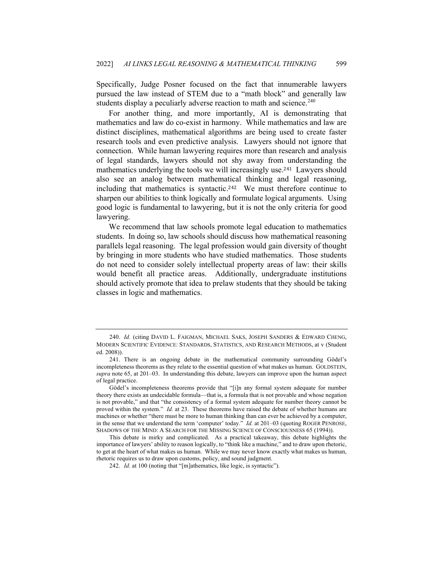Specifically, Judge Posner focused on the fact that innumerable lawyers pursued the law instead of STEM due to a "math block" and generally law students display a peculiarly adverse reaction to math and science.<sup>240</sup>

For another thing, and more importantly, AI is demonstrating that mathematics and law do co-exist in harmony. While mathematics and law are distinct disciplines, mathematical algorithms are being used to create faster research tools and even predictive analysis. Lawyers should not ignore that connection. While human lawyering requires more than research and analysis of legal standards, lawyers should not shy away from understanding the mathematics underlying the tools we will increasingly use.<sup>241</sup> Lawyers should also see an analog between mathematical thinking and legal reasoning, including that mathematics is syntactic.<sup>242</sup> We must therefore continue to sharpen our abilities to think logically and formulate logical arguments. Using good logic is fundamental to lawyering, but it is not the only criteria for good lawyering.

We recommend that law schools promote legal education to mathematics students. In doing so, law schools should discuss how mathematical reasoning parallels legal reasoning. The legal profession would gain diversity of thought by bringing in more students who have studied mathematics. Those students do not need to consider solely intellectual property areas of law: their skills would benefit all practice areas. Additionally, undergraduate institutions should actively promote that idea to prelaw students that they should be taking classes in logic and mathematics.

<sup>240.</sup> *Id.* (citing DAVID L. FAIGMAN, MICHAEL SAKS, JOSEPH SANDERS & EDWARD CHENG, MODERN SCIENTIFIC EVIDENCE: STANDARDS, STATISTICS, AND RESEARCH METHODS, at v (Student ed. 2008)).

<sup>241.</sup> There is an ongoing debate in the mathematical community surrounding Gödel's incompleteness theorems as they relate to the essential question of what makes us human. GOLDSTEIN, *supra* note 65, at 201–03. In understanding this debate, lawyers can improve upon the human aspect of legal practice.

Gödel's incompleteness theorems provide that "[i]n any formal system adequate for number theory there exists an undecidable formula—that is, a formula that is not provable and whose negation is not provable," and that "the consistency of a formal system adequate for number theory cannot be proved within the system." *Id.* at 23. These theorems have raised the debate of whether humans are machines or whether "there must be more to human thinking than can ever be achieved by a computer, in the sense that we understand the term 'computer' today." *Id.* at 201–03 (quoting ROGER PENROSE, SHADOWS OF THE MIND: A SEARCH FOR THE MISSING SCIENCE OF CONSCIOUSNESS 65 (1994)).

This debate is mirky and complicated. As a practical takeaway, this debate highlights the importance of lawyers' ability to reason logically, to "think like a machine," and to draw upon rhetoric, to get at the heart of what makes us human. While we may never know exactly what makes us human, rhetoric requires us to draw upon customs, policy, and sound judgment.

<sup>242.</sup> *Id.* at 100 (noting that "[m]athematics, like logic, is syntactic").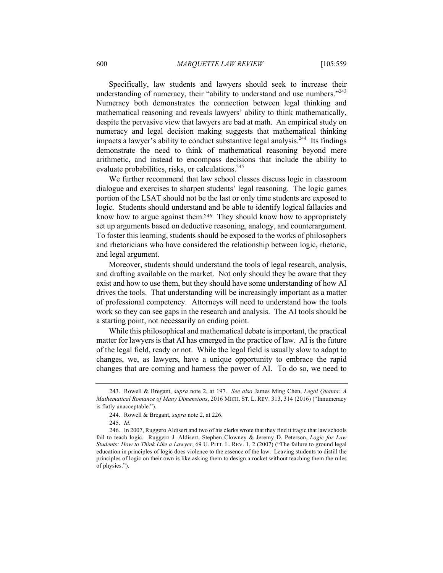Specifically, law students and lawyers should seek to increase their understanding of numeracy, their "ability to understand and use numbers." $243$ Numeracy both demonstrates the connection between legal thinking and mathematical reasoning and reveals lawyers' ability to think mathematically, despite the pervasive view that lawyers are bad at math. An empirical study on numeracy and legal decision making suggests that mathematical thinking impacts a lawyer's ability to conduct substantive legal analysis.<sup>244</sup> Its findings demonstrate the need to think of mathematical reasoning beyond mere arithmetic, and instead to encompass decisions that include the ability to evaluate probabilities, risks, or calculations.<sup>245</sup>

We further recommend that law school classes discuss logic in classroom dialogue and exercises to sharpen students' legal reasoning. The logic games portion of the LSAT should not be the last or only time students are exposed to logic. Students should understand and be able to identify logical fallacies and know how to argue against them.<sup>246</sup> They should know how to appropriately set up arguments based on deductive reasoning, analogy, and counterargument. To foster this learning, students should be exposed to the works of philosophers and rhetoricians who have considered the relationship between logic, rhetoric, and legal argument.

Moreover, students should understand the tools of legal research, analysis, and drafting available on the market. Not only should they be aware that they exist and how to use them, but they should have some understanding of how AI drives the tools. That understanding will be increasingly important as a matter of professional competency. Attorneys will need to understand how the tools work so they can see gaps in the research and analysis. The AI tools should be a starting point, not necessarily an ending point.

While this philosophical and mathematical debate is important, the practical matter for lawyers is that AI has emerged in the practice of law. AI is the future of the legal field, ready or not. While the legal field is usually slow to adapt to changes, we, as lawyers, have a unique opportunity to embrace the rapid changes that are coming and harness the power of AI. To do so, we need to

<sup>243.</sup> Rowell & Bregant, *supra* note 2, at 197. *See also* James Ming Chen, *Legal Quanta: A Mathematical Romance of Many Dimensions*, 2016 MICH. ST. L. REV. 313, 314 (2016) ("Innumeracy is flatly unacceptable.").

<sup>244.</sup> Rowell & Bregant, *supra* note 2, at 226.

<sup>245.</sup> *Id.*

<sup>246.</sup> In 2007, Ruggero Aldisert and two of his clerks wrote that they find it tragic that law schools fail to teach logic. Ruggero J. Aldisert, Stephen Clowney & Jeremy D. Peterson, *Logic for Law Students: How to Think Like a Lawyer*, 69 U. PITT. L. REV. 1, 2 (2007) ("The failure to ground legal education in principles of logic does violence to the essence of the law. Leaving students to distill the principles of logic on their own is like asking them to design a rocket without teaching them the rules of physics.").